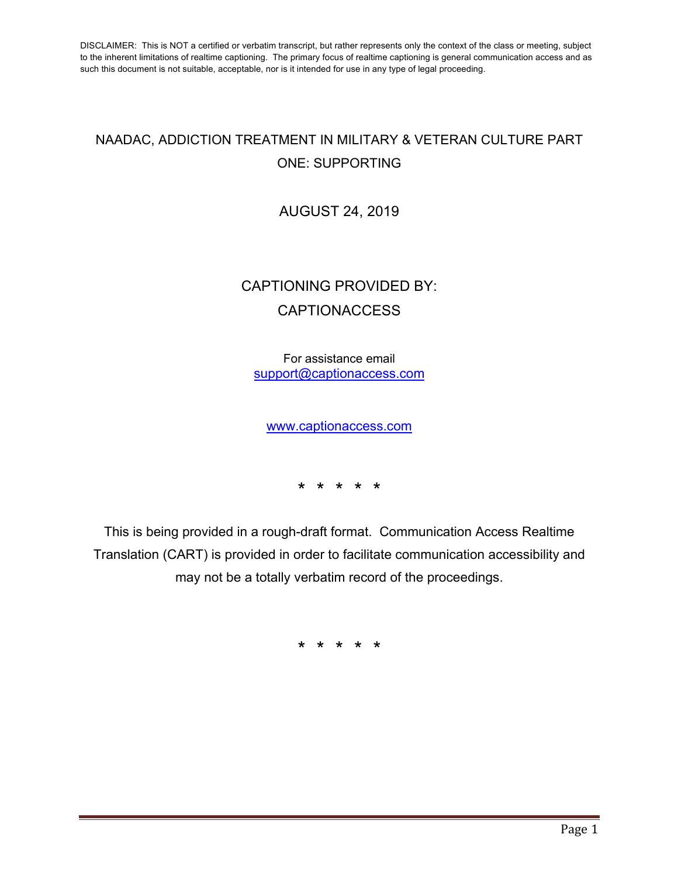## NAADAC, ADDICTION TREATMENT IN MILITARY & VETERAN CULTURE PART ONE: SUPPORTING

AUGUST 24, 2019

## CAPTIONING PROVIDED BY: **CAPTIONACCESS**

For assistance email support@captionaccess.com

www.captionaccess.com

\* \* \* \* \*

This is being provided in a rough-draft format. Communication Access Realtime Translation (CART) is provided in order to facilitate communication accessibility and may not be a totally verbatim record of the proceedings.

\* \* \* \* \*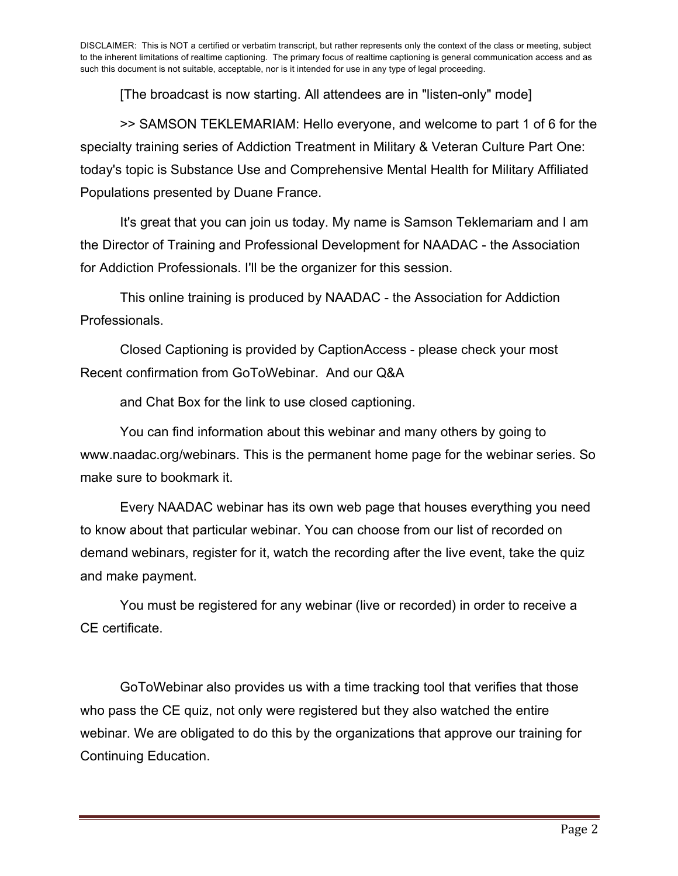[The broadcast is now starting. All attendees are in "listen-only" mode]

>> SAMSON TEKLEMARIAM: Hello everyone, and welcome to part 1 of 6 for the specialty training series of Addiction Treatment in Military & Veteran Culture Part One: today's topic is Substance Use and Comprehensive Mental Health for Military Affiliated Populations presented by Duane France.

It's great that you can join us today. My name is Samson Teklemariam and I am the Director of Training and Professional Development for NAADAC - the Association for Addiction Professionals. I'll be the organizer for this session.

This online training is produced by NAADAC - the Association for Addiction Professionals.

Closed Captioning is provided by CaptionAccess - please check your most Recent confirmation from GoToWebinar. And our Q&A

and Chat Box for the link to use closed captioning.

You can find information about this webinar and many others by going to www.naadac.org/webinars. This is the permanent home page for the webinar series. So make sure to bookmark it.

Every NAADAC webinar has its own web page that houses everything you need to know about that particular webinar. You can choose from our list of recorded on demand webinars, register for it, watch the recording after the live event, take the quiz and make payment.

You must be registered for any webinar (live or recorded) in order to receive a CE certificate.

GoToWebinar also provides us with a time tracking tool that verifies that those who pass the CE quiz, not only were registered but they also watched the entire webinar. We are obligated to do this by the organizations that approve our training for Continuing Education.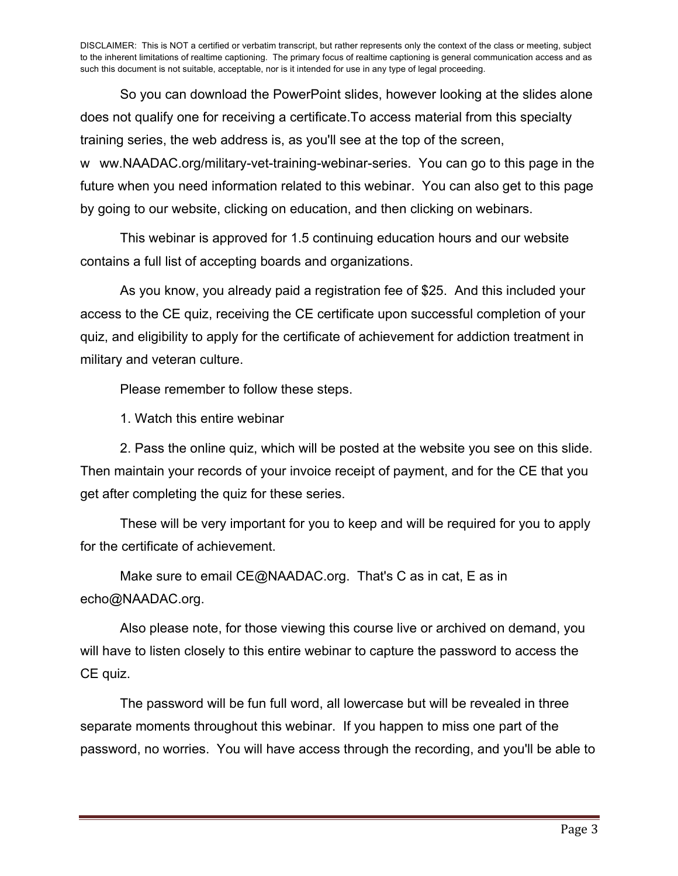So you can download the PowerPoint slides, however looking at the slides alone does not qualify one for receiving a certificate.To access material from this specialty training series, the web address is, as you'll see at the top of the screen, w ww.NAADAC.org/military-vet-training-webinar-series. You can go to this page in the future when you need information related to this webinar. You can also get to this page by going to our website, clicking on education, and then clicking on webinars.

This webinar is approved for 1.5 continuing education hours and our website contains a full list of accepting boards and organizations.

As you know, you already paid a registration fee of \$25. And this included your access to the CE quiz, receiving the CE certificate upon successful completion of your quiz, and eligibility to apply for the certificate of achievement for addiction treatment in military and veteran culture.

Please remember to follow these steps.

1. Watch this entire webinar

2. Pass the online quiz, which will be posted at the website you see on this slide. Then maintain your records of your invoice receipt of payment, and for the CE that you get after completing the quiz for these series.

These will be very important for you to keep and will be required for you to apply for the certificate of achievement.

Make sure to email CE@NAADAC.org. That's C as in cat, E as in echo@NAADAC.org.

Also please note, for those viewing this course live or archived on demand, you will have to listen closely to this entire webinar to capture the password to access the CE quiz.

The password will be fun full word, all lowercase but will be revealed in three separate moments throughout this webinar. If you happen to miss one part of the password, no worries. You will have access through the recording, and you'll be able to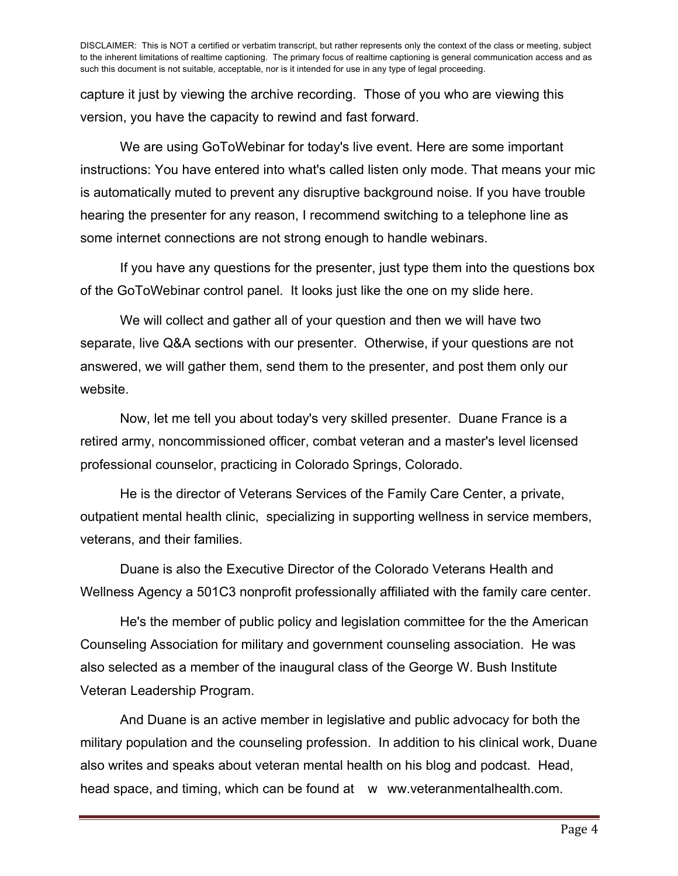capture it just by viewing the archive recording. Those of you who are viewing this version, you have the capacity to rewind and fast forward.

We are using GoToWebinar for today's live event. Here are some important instructions: You have entered into what's called listen only mode. That means your mic is automatically muted to prevent any disruptive background noise. If you have trouble hearing the presenter for any reason, I recommend switching to a telephone line as some internet connections are not strong enough to handle webinars.

If you have any questions for the presenter, just type them into the questions box of the GoToWebinar control panel. It looks just like the one on my slide here.

We will collect and gather all of your question and then we will have two separate, live Q&A sections with our presenter. Otherwise, if your questions are not answered, we will gather them, send them to the presenter, and post them only our website.

Now, let me tell you about today's very skilled presenter. Duane France is a retired army, noncommissioned officer, combat veteran and a master's level licensed professional counselor, practicing in Colorado Springs, Colorado.

He is the director of Veterans Services of the Family Care Center, a private, outpatient mental health clinic, specializing in supporting wellness in service members, veterans, and their families.

Duane is also the Executive Director of the Colorado Veterans Health and Wellness Agency a 501C3 nonprofit professionally affiliated with the family care center.

He's the member of public policy and legislation committee for the the American Counseling Association for military and government counseling association. He was also selected as a member of the inaugural class of the George W. Bush Institute Veteran Leadership Program.

And Duane is an active member in legislative and public advocacy for both the military population and the counseling profession. In addition to his clinical work, Duane also writes and speaks about veteran mental health on his blog and podcast. Head, head space, and timing, which can be found at www.veteranmentalhealth.com.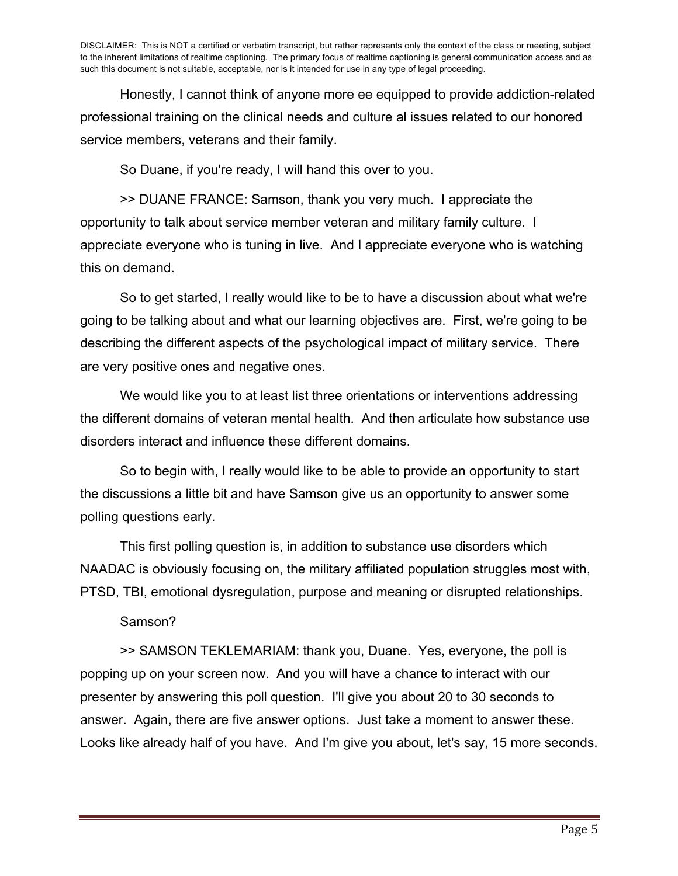Honestly, I cannot think of anyone more ee equipped to provide addiction-related professional training on the clinical needs and culture al issues related to our honored service members, veterans and their family.

So Duane, if you're ready, I will hand this over to you.

>> DUANE FRANCE: Samson, thank you very much. I appreciate the opportunity to talk about service member veteran and military family culture. I appreciate everyone who is tuning in live. And I appreciate everyone who is watching this on demand.

So to get started, I really would like to be to have a discussion about what we're going to be talking about and what our learning objectives are. First, we're going to be describing the different aspects of the psychological impact of military service. There are very positive ones and negative ones.

We would like you to at least list three orientations or interventions addressing the different domains of veteran mental health. And then articulate how substance use disorders interact and influence these different domains.

So to begin with, I really would like to be able to provide an opportunity to start the discussions a little bit and have Samson give us an opportunity to answer some polling questions early.

This first polling question is, in addition to substance use disorders which NAADAC is obviously focusing on, the military affiliated population struggles most with, PTSD, TBI, emotional dysregulation, purpose and meaning or disrupted relationships.

Samson?

>> SAMSON TEKLEMARIAM: thank you, Duane. Yes, everyone, the poll is popping up on your screen now. And you will have a chance to interact with our presenter by answering this poll question. I'll give you about 20 to 30 seconds to answer. Again, there are five answer options. Just take a moment to answer these. Looks like already half of you have. And I'm give you about, let's say, 15 more seconds.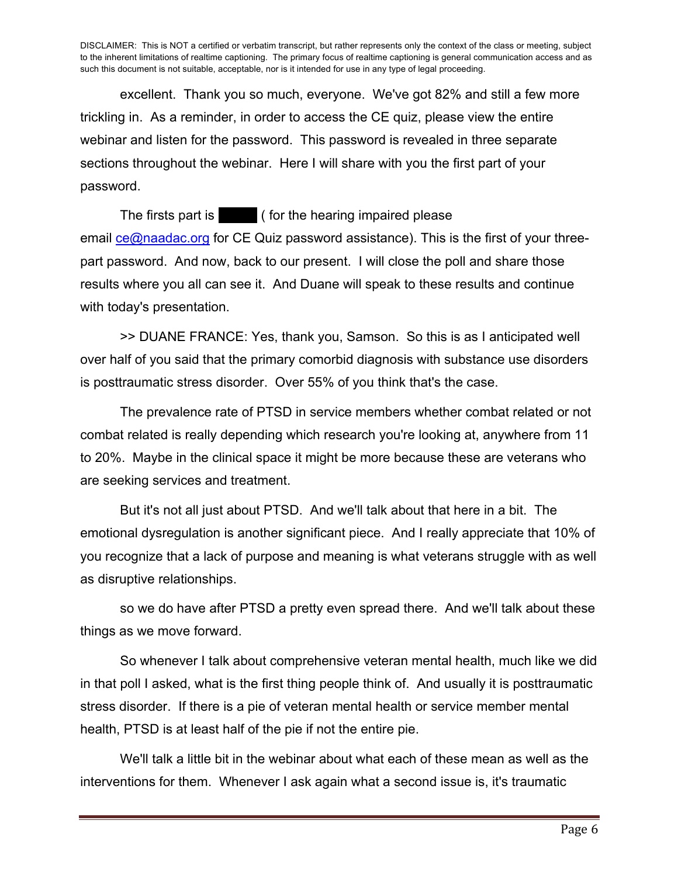excellent. Thank you so much, everyone. We've got 82% and still a few more trickling in. As a reminder, in order to access the CE quiz, please view the entire webinar and listen for the password. This password is revealed in three separate sections throughout the webinar. Here I will share with you the first part of your password.

The firsts part is an is an is the hearing impaired please email  $ce@naadac.org$  for CE Quiz password assistance). This is the first of your threepart password. And now, back to our present. I will close the poll and share those results where you all can see it. And Duane will speak to these results and continue with today's presentation.

>> DUANE FRANCE: Yes, thank you, Samson. So this is as I anticipated well over half of you said that the primary comorbid diagnosis with substance use disorders is posttraumatic stress disorder. Over 55% of you think that's the case.

The prevalence rate of PTSD in service members whether combat related or not combat related is really depending which research you're looking at, anywhere from 11 to 20%. Maybe in the clinical space it might be more because these are veterans who are seeking services and treatment.

But it's not all just about PTSD. And we'll talk about that here in a bit. The emotional dysregulation is another significant piece. And I really appreciate that 10% of you recognize that a lack of purpose and meaning is what veterans struggle with as well as disruptive relationships.

so we do have after PTSD a pretty even spread there. And we'll talk about these things as we move forward.

So whenever I talk about comprehensive veteran mental health, much like we did in that poll I asked, what is the first thing people think of. And usually it is posttraumatic stress disorder. If there is a pie of veteran mental health or service member mental health, PTSD is at least half of the pie if not the entire pie.

We'll talk a little bit in the webinar about what each of these mean as well as the interventions for them. Whenever I ask again what a second issue is, it's traumatic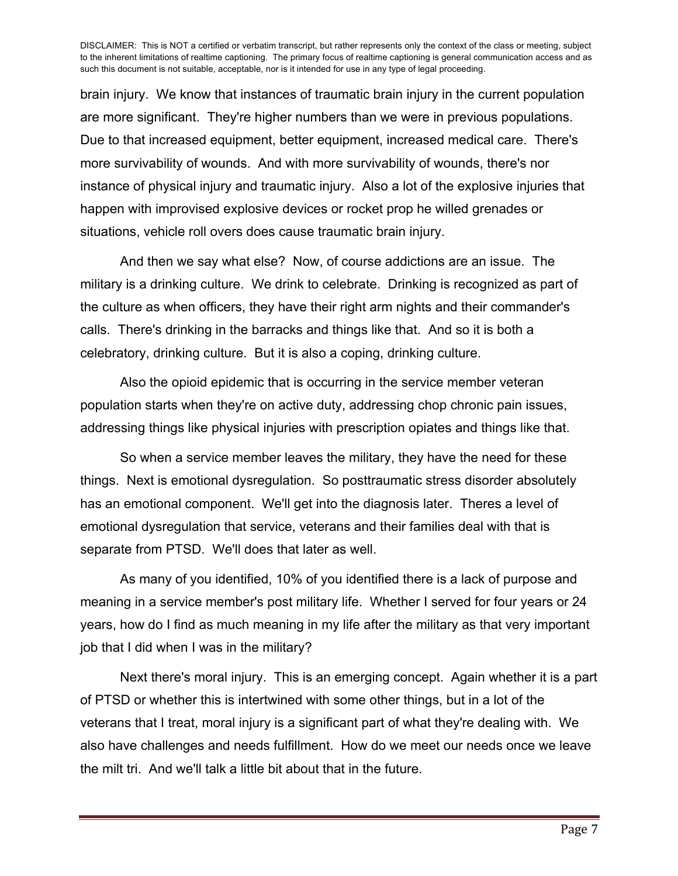brain injury. We know that instances of traumatic brain injury in the current population are more significant. They're higher numbers than we were in previous populations. Due to that increased equipment, better equipment, increased medical care. There's more survivability of wounds. And with more survivability of wounds, there's nor instance of physical injury and traumatic injury. Also a lot of the explosive injuries that happen with improvised explosive devices or rocket prop he willed grenades or situations, vehicle roll overs does cause traumatic brain injury.

And then we say what else? Now, of course addictions are an issue. The military is a drinking culture. We drink to celebrate. Drinking is recognized as part of the culture as when officers, they have their right arm nights and their commander's calls. There's drinking in the barracks and things like that. And so it is both a celebratory, drinking culture. But it is also a coping, drinking culture.

Also the opioid epidemic that is occurring in the service member veteran population starts when they're on active duty, addressing chop chronic pain issues, addressing things like physical injuries with prescription opiates and things like that.

So when a service member leaves the military, they have the need for these things. Next is emotional dysregulation. So posttraumatic stress disorder absolutely has an emotional component. We'll get into the diagnosis later. Theres a level of emotional dysregulation that service, veterans and their families deal with that is separate from PTSD. We'll does that later as well.

As many of you identified, 10% of you identified there is a lack of purpose and meaning in a service member's post military life. Whether I served for four years or 24 years, how do I find as much meaning in my life after the military as that very important job that I did when I was in the military?

Next there's moral injury. This is an emerging concept. Again whether it is a part of PTSD or whether this is intertwined with some other things, but in a lot of the veterans that I treat, moral injury is a significant part of what they're dealing with. We also have challenges and needs fulfillment. How do we meet our needs once we leave the milt tri. And we'll talk a little bit about that in the future.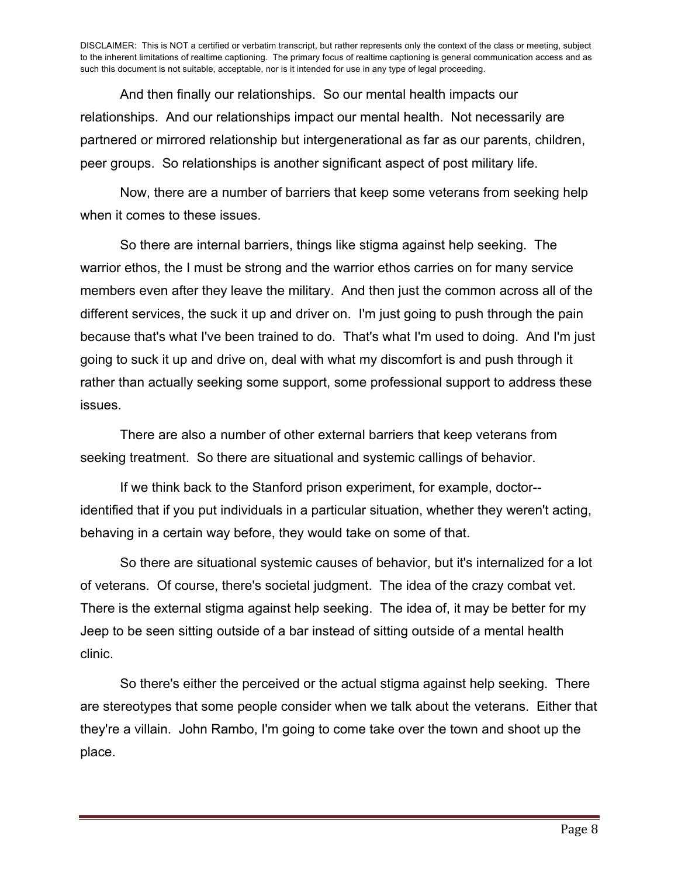And then finally our relationships. So our mental health impacts our relationships. And our relationships impact our mental health. Not necessarily are partnered or mirrored relationship but intergenerational as far as our parents, children, peer groups. So relationships is another significant aspect of post military life.

Now, there are a number of barriers that keep some veterans from seeking help when it comes to these issues.

So there are internal barriers, things like stigma against help seeking. The warrior ethos, the I must be strong and the warrior ethos carries on for many service members even after they leave the military. And then just the common across all of the different services, the suck it up and driver on. I'm just going to push through the pain because that's what I've been trained to do. That's what I'm used to doing. And I'm just going to suck it up and drive on, deal with what my discomfort is and push through it rather than actually seeking some support, some professional support to address these issues.

There are also a number of other external barriers that keep veterans from seeking treatment. So there are situational and systemic callings of behavior.

If we think back to the Stanford prison experiment, for example, doctor- identified that if you put individuals in a particular situation, whether they weren't acting, behaving in a certain way before, they would take on some of that.

So there are situational systemic causes of behavior, but it's internalized for a lot of veterans. Of course, there's societal judgment. The idea of the crazy combat vet. There is the external stigma against help seeking. The idea of, it may be better for my Jeep to be seen sitting outside of a bar instead of sitting outside of a mental health clinic.

So there's either the perceived or the actual stigma against help seeking. There are stereotypes that some people consider when we talk about the veterans. Either that they're a villain. John Rambo, I'm going to come take over the town and shoot up the place.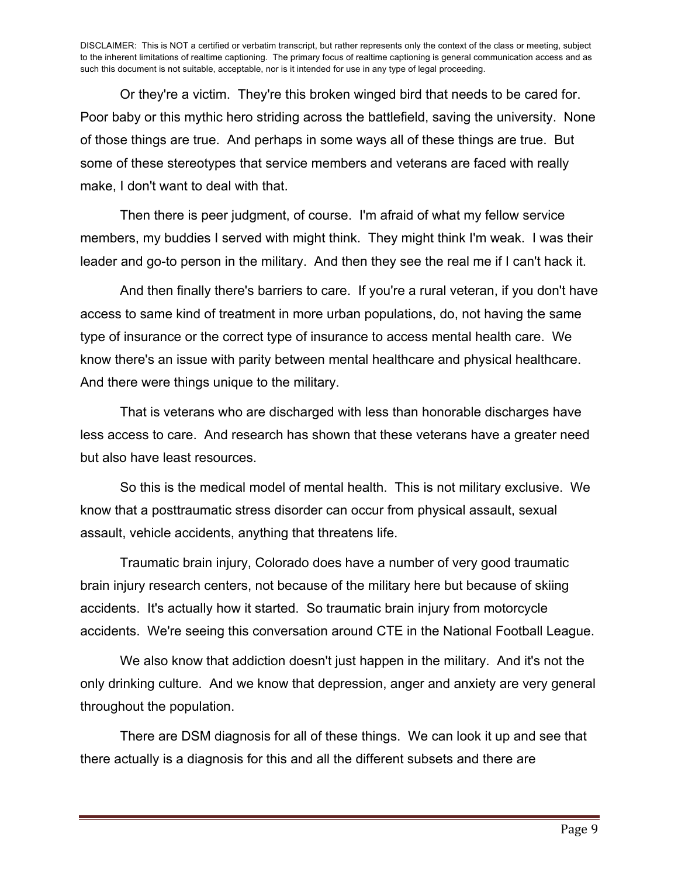Or they're a victim. They're this broken winged bird that needs to be cared for. Poor baby or this mythic hero striding across the battlefield, saving the university. None of those things are true. And perhaps in some ways all of these things are true. But some of these stereotypes that service members and veterans are faced with really make, I don't want to deal with that.

Then there is peer judgment, of course. I'm afraid of what my fellow service members, my buddies I served with might think. They might think I'm weak. I was their leader and go-to person in the military. And then they see the real me if I can't hack it.

And then finally there's barriers to care. If you're a rural veteran, if you don't have access to same kind of treatment in more urban populations, do, not having the same type of insurance or the correct type of insurance to access mental health care. We know there's an issue with parity between mental healthcare and physical healthcare. And there were things unique to the military.

That is veterans who are discharged with less than honorable discharges have less access to care. And research has shown that these veterans have a greater need but also have least resources.

So this is the medical model of mental health. This is not military exclusive. We know that a posttraumatic stress disorder can occur from physical assault, sexual assault, vehicle accidents, anything that threatens life.

Traumatic brain injury, Colorado does have a number of very good traumatic brain injury research centers, not because of the military here but because of skiing accidents. It's actually how it started. So traumatic brain injury from motorcycle accidents. We're seeing this conversation around CTE in the National Football League.

We also know that addiction doesn't just happen in the military. And it's not the only drinking culture. And we know that depression, anger and anxiety are very general throughout the population.

There are DSM diagnosis for all of these things. We can look it up and see that there actually is a diagnosis for this and all the different subsets and there are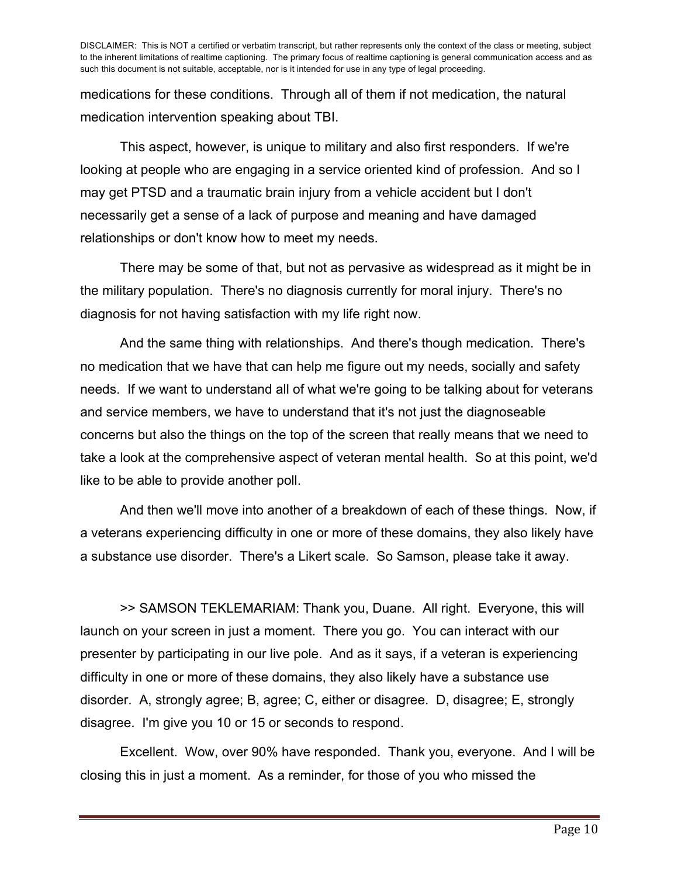medications for these conditions. Through all of them if not medication, the natural medication intervention speaking about TBI.

This aspect, however, is unique to military and also first responders. If we're looking at people who are engaging in a service oriented kind of profession. And so I may get PTSD and a traumatic brain injury from a vehicle accident but I don't necessarily get a sense of a lack of purpose and meaning and have damaged relationships or don't know how to meet my needs.

There may be some of that, but not as pervasive as widespread as it might be in the military population. There's no diagnosis currently for moral injury. There's no diagnosis for not having satisfaction with my life right now.

And the same thing with relationships. And there's though medication. There's no medication that we have that can help me figure out my needs, socially and safety needs. If we want to understand all of what we're going to be talking about for veterans and service members, we have to understand that it's not just the diagnoseable concerns but also the things on the top of the screen that really means that we need to take a look at the comprehensive aspect of veteran mental health. So at this point, we'd like to be able to provide another poll.

And then we'll move into another of a breakdown of each of these things. Now, if a veterans experiencing difficulty in one or more of these domains, they also likely have a substance use disorder. There's a Likert scale. So Samson, please take it away.

>> SAMSON TEKLEMARIAM: Thank you, Duane. All right. Everyone, this will launch on your screen in just a moment. There you go. You can interact with our presenter by participating in our live pole. And as it says, if a veteran is experiencing difficulty in one or more of these domains, they also likely have a substance use disorder. A, strongly agree; B, agree; C, either or disagree. D, disagree; E, strongly disagree. I'm give you 10 or 15 or seconds to respond.

Excellent. Wow, over 90% have responded. Thank you, everyone. And I will be closing this in just a moment. As a reminder, for those of you who missed the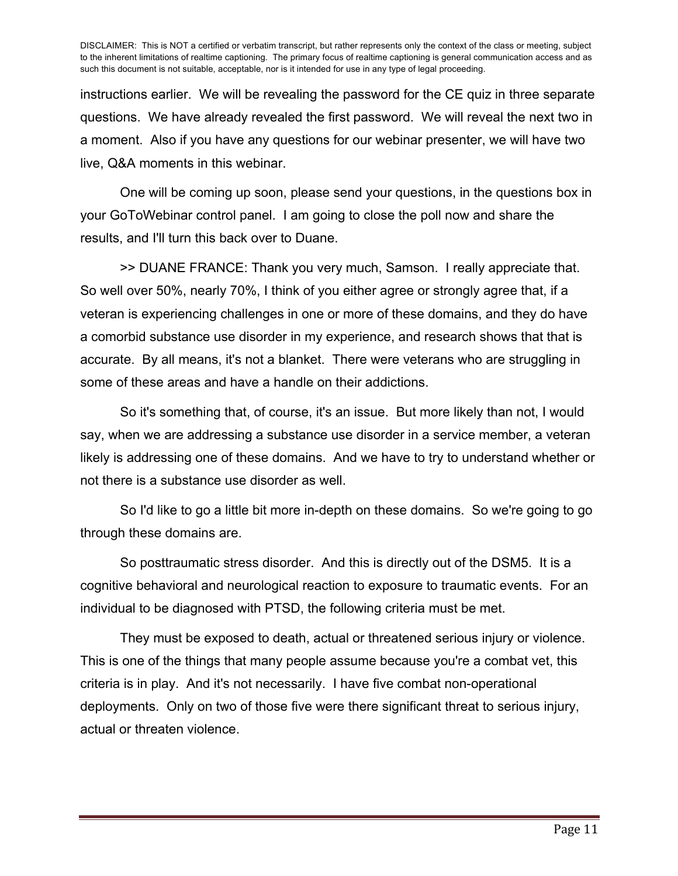instructions earlier. We will be revealing the password for the CE quiz in three separate questions. We have already revealed the first password. We will reveal the next two in a moment. Also if you have any questions for our webinar presenter, we will have two live, Q&A moments in this webinar.

One will be coming up soon, please send your questions, in the questions box in your GoToWebinar control panel. I am going to close the poll now and share the results, and I'll turn this back over to Duane.

>> DUANE FRANCE: Thank you very much, Samson. I really appreciate that. So well over 50%, nearly 70%, I think of you either agree or strongly agree that, if a veteran is experiencing challenges in one or more of these domains, and they do have a comorbid substance use disorder in my experience, and research shows that that is accurate. By all means, it's not a blanket. There were veterans who are struggling in some of these areas and have a handle on their addictions.

So it's something that, of course, it's an issue. But more likely than not, I would say, when we are addressing a substance use disorder in a service member, a veteran likely is addressing one of these domains. And we have to try to understand whether or not there is a substance use disorder as well.

So I'd like to go a little bit more in-depth on these domains. So we're going to go through these domains are.

So posttraumatic stress disorder. And this is directly out of the DSM5. It is a cognitive behavioral and neurological reaction to exposure to traumatic events. For an individual to be diagnosed with PTSD, the following criteria must be met.

They must be exposed to death, actual or threatened serious injury or violence. This is one of the things that many people assume because you're a combat vet, this criteria is in play. And it's not necessarily. I have five combat non-operational deployments. Only on two of those five were there significant threat to serious injury, actual or threaten violence.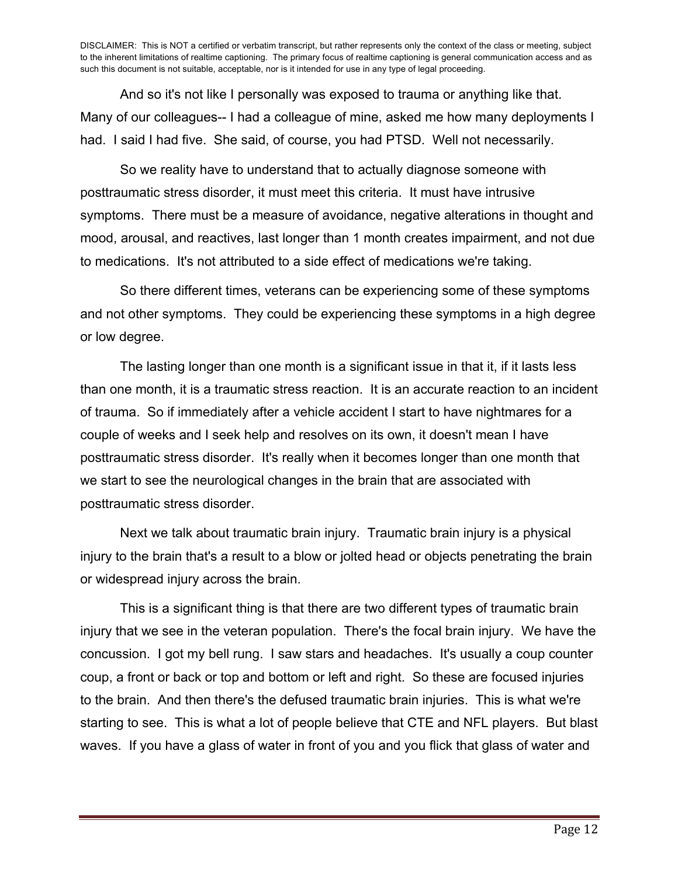And so it's not like I personally was exposed to trauma or anything like that. Many of our colleagues-- I had a colleague of mine, asked me how many deployments I had. I said I had five. She said, of course, you had PTSD. Well not necessarily.

So we reality have to understand that to actually diagnose someone with posttraumatic stress disorder, it must meet this criteria. It must have intrusive symptoms. There must be a measure of avoidance, negative alterations in thought and mood, arousal, and reactives, last longer than 1 month creates impairment, and not due to medications. It's not attributed to a side effect of medications we're taking.

So there different times, veterans can be experiencing some of these symptoms and not other symptoms. They could be experiencing these symptoms in a high degree or low degree.

The lasting longer than one month is a significant issue in that it, if it lasts less than one month, it is a traumatic stress reaction. It is an accurate reaction to an incident of trauma. So if immediately after a vehicle accident I start to have nightmares for a couple of weeks and I seek help and resolves on its own, it doesn't mean I have posttraumatic stress disorder. It's really when it becomes longer than one month that we start to see the neurological changes in the brain that are associated with posttraumatic stress disorder.

Next we talk about traumatic brain injury. Traumatic brain injury is a physical injury to the brain that's a result to a blow or jolted head or objects penetrating the brain or widespread injury across the brain.

This is a significant thing is that there are two different types of traumatic brain injury that we see in the veteran population. There's the focal brain injury. We have the concussion. I got my bell rung. I saw stars and headaches. It's usually a coup counter coup, a front or back or top and bottom or left and right. So these are focused injuries to the brain. And then there's the defused traumatic brain injuries. This is what we're starting to see. This is what a lot of people believe that CTE and NFL players. But blast waves. If you have a glass of water in front of you and you flick that glass of water and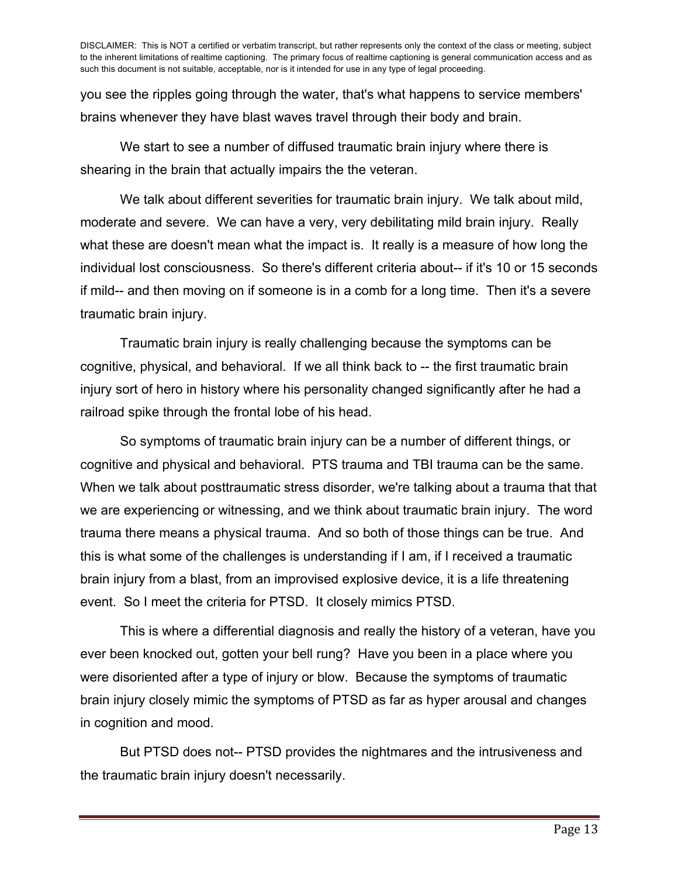you see the ripples going through the water, that's what happens to service members' brains whenever they have blast waves travel through their body and brain.

We start to see a number of diffused traumatic brain injury where there is shearing in the brain that actually impairs the the veteran.

We talk about different severities for traumatic brain injury. We talk about mild, moderate and severe. We can have a very, very debilitating mild brain injury. Really what these are doesn't mean what the impact is. It really is a measure of how long the individual lost consciousness. So there's different criteria about-- if it's 10 or 15 seconds if mild-- and then moving on if someone is in a comb for a long time. Then it's a severe traumatic brain injury.

Traumatic brain injury is really challenging because the symptoms can be cognitive, physical, and behavioral. If we all think back to -- the first traumatic brain injury sort of hero in history where his personality changed significantly after he had a railroad spike through the frontal lobe of his head.

So symptoms of traumatic brain injury can be a number of different things, or cognitive and physical and behavioral. PTS trauma and TBI trauma can be the same. When we talk about posttraumatic stress disorder, we're talking about a trauma that that we are experiencing or witnessing, and we think about traumatic brain injury. The word trauma there means a physical trauma. And so both of those things can be true. And this is what some of the challenges is understanding if I am, if I received a traumatic brain injury from a blast, from an improvised explosive device, it is a life threatening event. So I meet the criteria for PTSD. It closely mimics PTSD.

This is where a differential diagnosis and really the history of a veteran, have you ever been knocked out, gotten your bell rung? Have you been in a place where you were disoriented after a type of injury or blow. Because the symptoms of traumatic brain injury closely mimic the symptoms of PTSD as far as hyper arousal and changes in cognition and mood.

But PTSD does not-- PTSD provides the nightmares and the intrusiveness and the traumatic brain injury doesn't necessarily.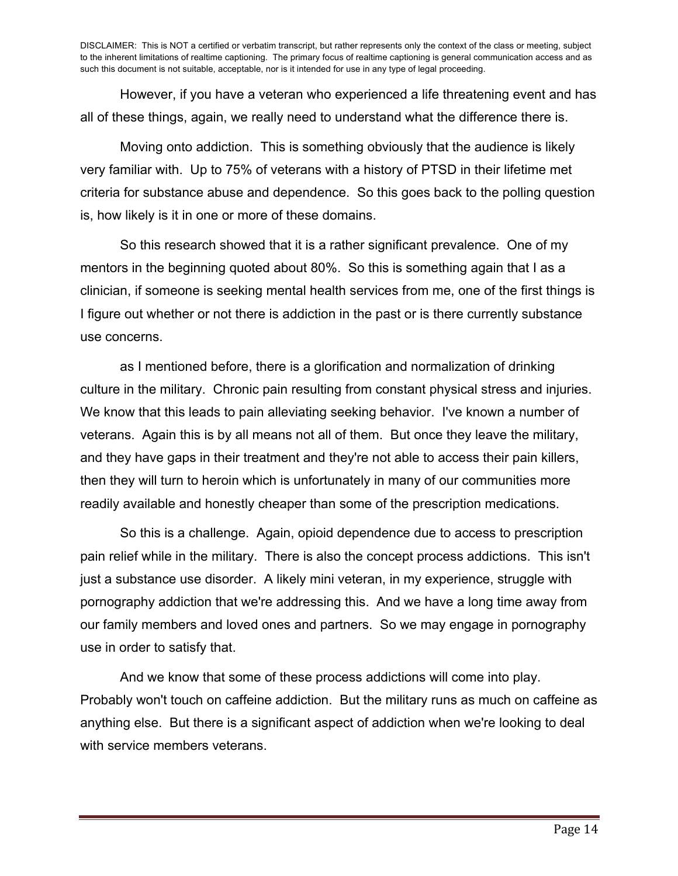However, if you have a veteran who experienced a life threatening event and has all of these things, again, we really need to understand what the difference there is.

Moving onto addiction. This is something obviously that the audience is likely very familiar with. Up to 75% of veterans with a history of PTSD in their lifetime met criteria for substance abuse and dependence. So this goes back to the polling question is, how likely is it in one or more of these domains.

So this research showed that it is a rather significant prevalence. One of my mentors in the beginning quoted about 80%. So this is something again that I as a clinician, if someone is seeking mental health services from me, one of the first things is I figure out whether or not there is addiction in the past or is there currently substance use concerns.

as I mentioned before, there is a glorification and normalization of drinking culture in the military. Chronic pain resulting from constant physical stress and injuries. We know that this leads to pain alleviating seeking behavior. I've known a number of veterans. Again this is by all means not all of them. But once they leave the military, and they have gaps in their treatment and they're not able to access their pain killers, then they will turn to heroin which is unfortunately in many of our communities more readily available and honestly cheaper than some of the prescription medications.

So this is a challenge. Again, opioid dependence due to access to prescription pain relief while in the military. There is also the concept process addictions. This isn't just a substance use disorder. A likely mini veteran, in my experience, struggle with pornography addiction that we're addressing this. And we have a long time away from our family members and loved ones and partners. So we may engage in pornography use in order to satisfy that.

And we know that some of these process addictions will come into play. Probably won't touch on caffeine addiction. But the military runs as much on caffeine as anything else. But there is a significant aspect of addiction when we're looking to deal with service members veterans.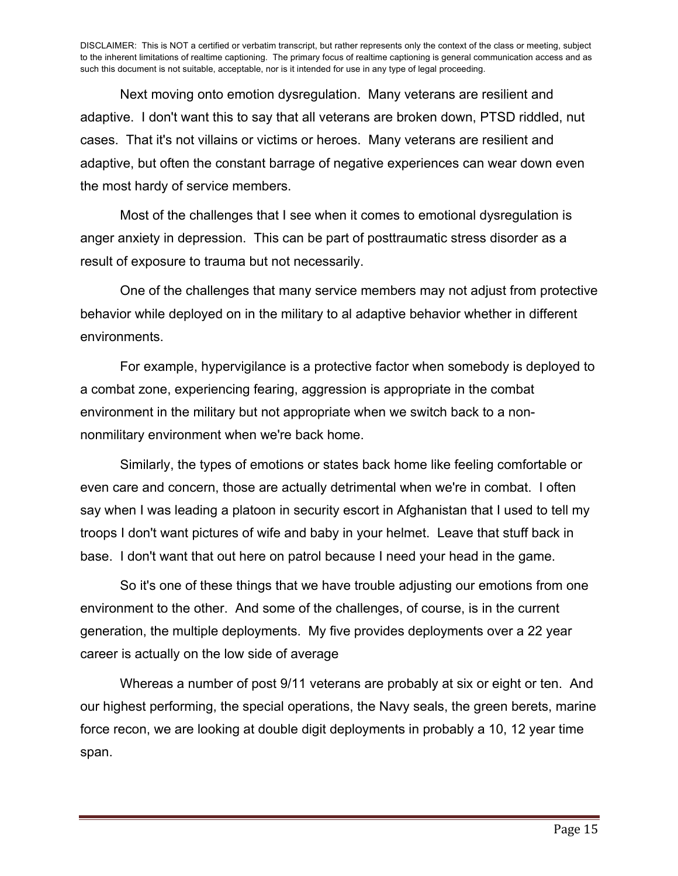Next moving onto emotion dysregulation. Many veterans are resilient and adaptive. I don't want this to say that all veterans are broken down, PTSD riddled, nut cases. That it's not villains or victims or heroes. Many veterans are resilient and adaptive, but often the constant barrage of negative experiences can wear down even the most hardy of service members.

Most of the challenges that I see when it comes to emotional dysregulation is anger anxiety in depression. This can be part of posttraumatic stress disorder as a result of exposure to trauma but not necessarily.

One of the challenges that many service members may not adjust from protective behavior while deployed on in the military to al adaptive behavior whether in different environments.

For example, hypervigilance is a protective factor when somebody is deployed to a combat zone, experiencing fearing, aggression is appropriate in the combat environment in the military but not appropriate when we switch back to a nonnonmilitary environment when we're back home.

Similarly, the types of emotions or states back home like feeling comfortable or even care and concern, those are actually detrimental when we're in combat. I often say when I was leading a platoon in security escort in Afghanistan that I used to tell my troops I don't want pictures of wife and baby in your helmet. Leave that stuff back in base. I don't want that out here on patrol because I need your head in the game.

So it's one of these things that we have trouble adjusting our emotions from one environment to the other. And some of the challenges, of course, is in the current generation, the multiple deployments. My five provides deployments over a 22 year career is actually on the low side of average

Whereas a number of post 9/11 veterans are probably at six or eight or ten. And our highest performing, the special operations, the Navy seals, the green berets, marine force recon, we are looking at double digit deployments in probably a 10, 12 year time span.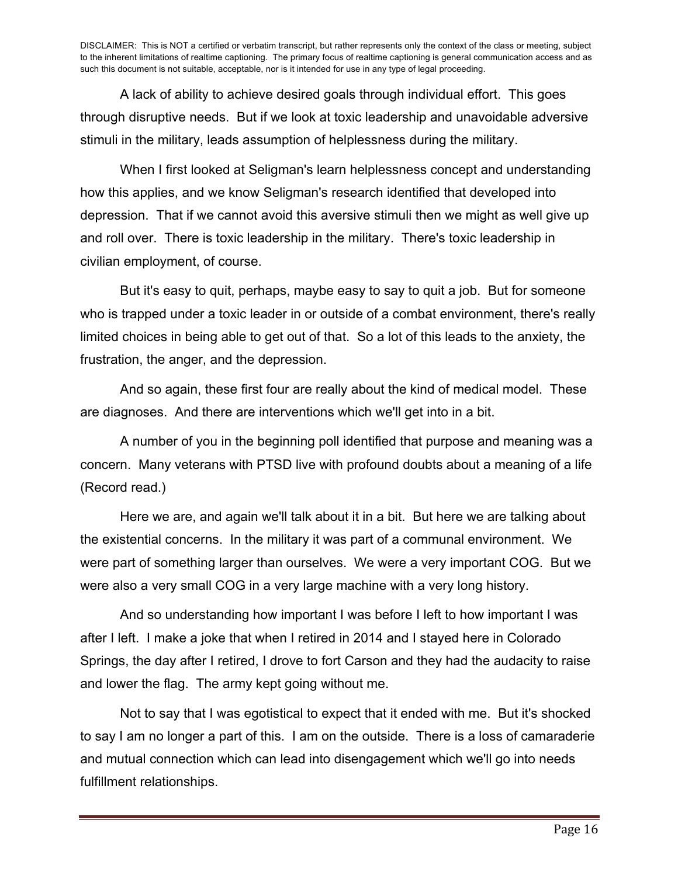A lack of ability to achieve desired goals through individual effort. This goes through disruptive needs. But if we look at toxic leadership and unavoidable adversive stimuli in the military, leads assumption of helplessness during the military.

When I first looked at Seligman's learn helplessness concept and understanding how this applies, and we know Seligman's research identified that developed into depression. That if we cannot avoid this aversive stimuli then we might as well give up and roll over. There is toxic leadership in the military. There's toxic leadership in civilian employment, of course.

But it's easy to quit, perhaps, maybe easy to say to quit a job. But for someone who is trapped under a toxic leader in or outside of a combat environment, there's really limited choices in being able to get out of that. So a lot of this leads to the anxiety, the frustration, the anger, and the depression.

And so again, these first four are really about the kind of medical model. These are diagnoses. And there are interventions which we'll get into in a bit.

A number of you in the beginning poll identified that purpose and meaning was a concern. Many veterans with PTSD live with profound doubts about a meaning of a life (Record read.)

Here we are, and again we'll talk about it in a bit. But here we are talking about the existential concerns. In the military it was part of a communal environment. We were part of something larger than ourselves. We were a very important COG. But we were also a very small COG in a very large machine with a very long history.

And so understanding how important I was before I left to how important I was after I left. I make a joke that when I retired in 2014 and I stayed here in Colorado Springs, the day after I retired, I drove to fort Carson and they had the audacity to raise and lower the flag. The army kept going without me.

Not to say that I was egotistical to expect that it ended with me. But it's shocked to say I am no longer a part of this. I am on the outside. There is a loss of camaraderie and mutual connection which can lead into disengagement which we'll go into needs fulfillment relationships.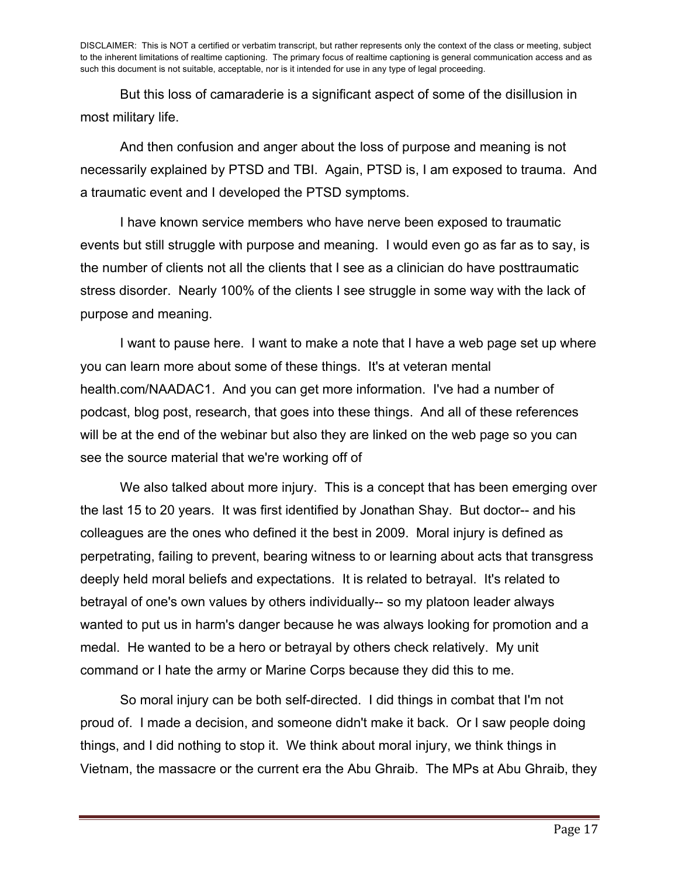But this loss of camaraderie is a significant aspect of some of the disillusion in most military life.

And then confusion and anger about the loss of purpose and meaning is not necessarily explained by PTSD and TBI. Again, PTSD is, I am exposed to trauma. And a traumatic event and I developed the PTSD symptoms.

I have known service members who have nerve been exposed to traumatic events but still struggle with purpose and meaning. I would even go as far as to say, is the number of clients not all the clients that I see as a clinician do have posttraumatic stress disorder. Nearly 100% of the clients I see struggle in some way with the lack of purpose and meaning.

I want to pause here. I want to make a note that I have a web page set up where you can learn more about some of these things. It's at veteran mental health.com/NAADAC1. And you can get more information. I've had a number of podcast, blog post, research, that goes into these things. And all of these references will be at the end of the webinar but also they are linked on the web page so you can see the source material that we're working off of

We also talked about more injury. This is a concept that has been emerging over the last 15 to 20 years. It was first identified by Jonathan Shay. But doctor-- and his colleagues are the ones who defined it the best in 2009. Moral injury is defined as perpetrating, failing to prevent, bearing witness to or learning about acts that transgress deeply held moral beliefs and expectations. It is related to betrayal. It's related to betrayal of one's own values by others individually-- so my platoon leader always wanted to put us in harm's danger because he was always looking for promotion and a medal. He wanted to be a hero or betrayal by others check relatively. My unit command or I hate the army or Marine Corps because they did this to me.

So moral injury can be both self-directed. I did things in combat that I'm not proud of. I made a decision, and someone didn't make it back. Or I saw people doing things, and I did nothing to stop it. We think about moral injury, we think things in Vietnam, the massacre or the current era the Abu Ghraib. The MPs at Abu Ghraib, they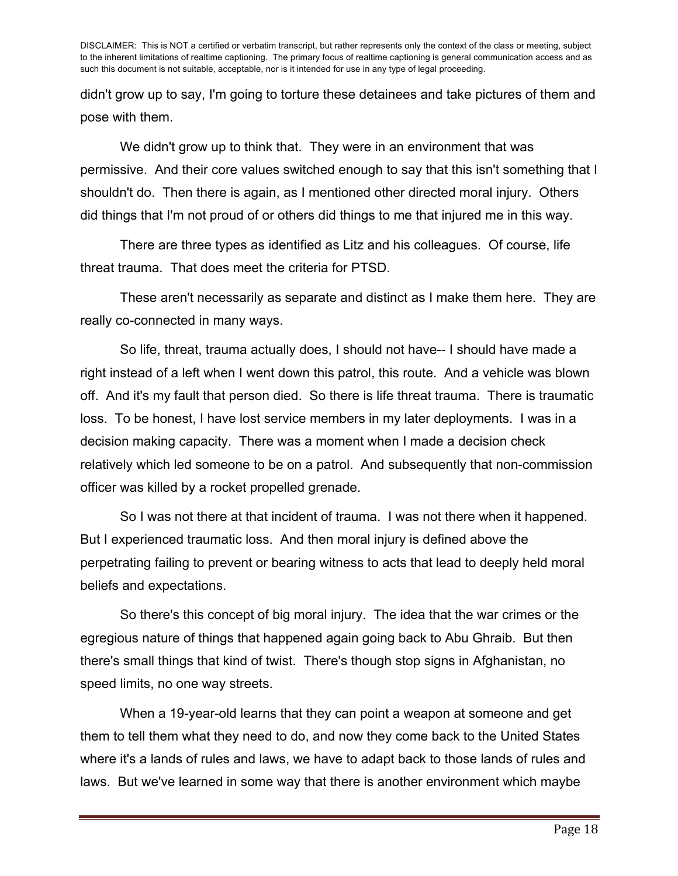didn't grow up to say, I'm going to torture these detainees and take pictures of them and pose with them.

We didn't grow up to think that. They were in an environment that was permissive. And their core values switched enough to say that this isn't something that I shouldn't do. Then there is again, as I mentioned other directed moral injury. Others did things that I'm not proud of or others did things to me that injured me in this way.

There are three types as identified as Litz and his colleagues. Of course, life threat trauma. That does meet the criteria for PTSD.

These aren't necessarily as separate and distinct as I make them here. They are really co-connected in many ways.

So life, threat, trauma actually does, I should not have-- I should have made a right instead of a left when I went down this patrol, this route. And a vehicle was blown off. And it's my fault that person died. So there is life threat trauma. There is traumatic loss. To be honest, I have lost service members in my later deployments. I was in a decision making capacity. There was a moment when I made a decision check relatively which led someone to be on a patrol. And subsequently that non-commission officer was killed by a rocket propelled grenade.

So I was not there at that incident of trauma. I was not there when it happened. But I experienced traumatic loss. And then moral injury is defined above the perpetrating failing to prevent or bearing witness to acts that lead to deeply held moral beliefs and expectations.

So there's this concept of big moral injury. The idea that the war crimes or the egregious nature of things that happened again going back to Abu Ghraib. But then there's small things that kind of twist. There's though stop signs in Afghanistan, no speed limits, no one way streets.

When a 19-year-old learns that they can point a weapon at someone and get them to tell them what they need to do, and now they come back to the United States where it's a lands of rules and laws, we have to adapt back to those lands of rules and laws. But we've learned in some way that there is another environment which maybe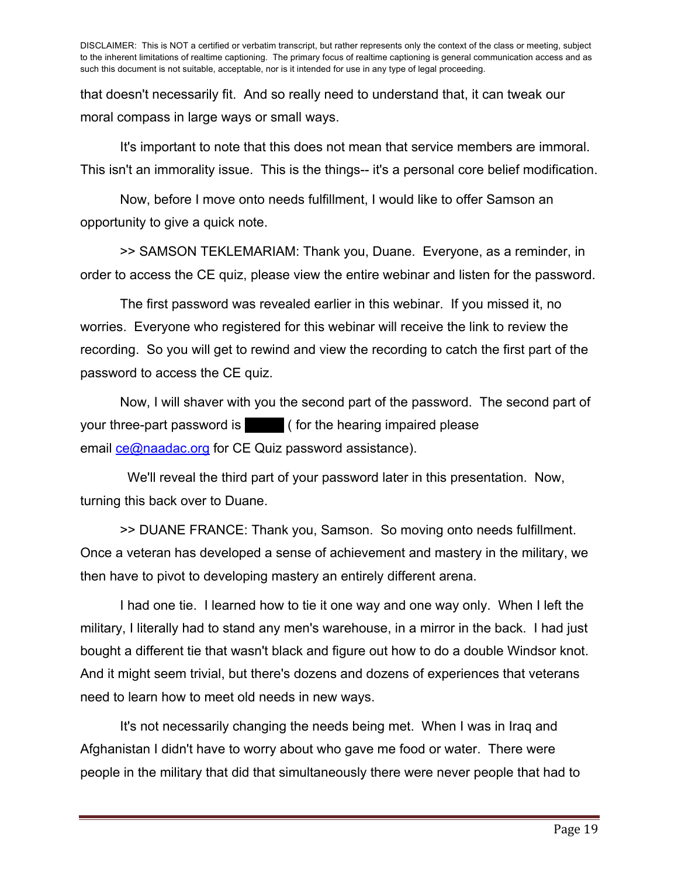that doesn't necessarily fit. And so really need to understand that, it can tweak our moral compass in large ways or small ways.

It's important to note that this does not mean that service members are immoral. This isn't an immorality issue. This is the things-- it's a personal core belief modification.

Now, before I move onto needs fulfillment, I would like to offer Samson an opportunity to give a quick note.

>> SAMSON TEKLEMARIAM: Thank you, Duane. Everyone, as a reminder, in order to access the CE quiz, please view the entire webinar and listen for the password.

The first password was revealed earlier in this webinar. If you missed it, no worries. Everyone who registered for this webinar will receive the link to review the recording. So you will get to rewind and view the recording to catch the first part of the password to access the CE quiz.

Now, I will shaver with you the second part of the password. The second part of your three-part password is an is all ( for the hearing impaired please email **ce@naadac.org** for CE Quiz password assistance).

 We'll reveal the third part of your password later in this presentation. Now, turning this back over to Duane.

>> DUANE FRANCE: Thank you, Samson. So moving onto needs fulfillment. Once a veteran has developed a sense of achievement and mastery in the military, we then have to pivot to developing mastery an entirely different arena.

I had one tie. I learned how to tie it one way and one way only. When I left the military, I literally had to stand any men's warehouse, in a mirror in the back. I had just bought a different tie that wasn't black and figure out how to do a double Windsor knot. And it might seem trivial, but there's dozens and dozens of experiences that veterans need to learn how to meet old needs in new ways.

It's not necessarily changing the needs being met. When I was in Iraq and Afghanistan I didn't have to worry about who gave me food or water. There were people in the military that did that simultaneously there were never people that had to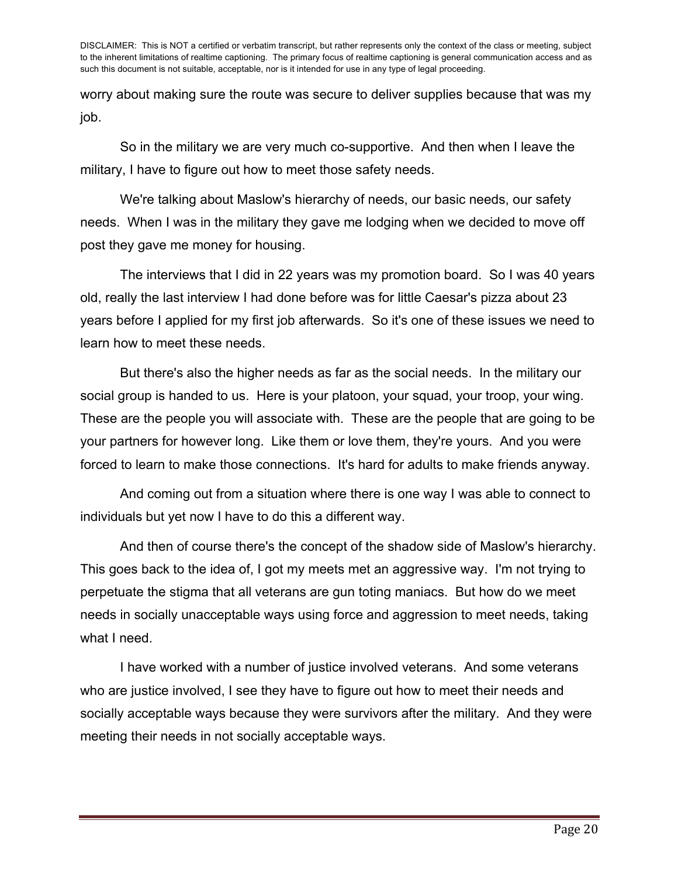worry about making sure the route was secure to deliver supplies because that was my job.

So in the military we are very much co-supportive. And then when I leave the military, I have to figure out how to meet those safety needs.

We're talking about Maslow's hierarchy of needs, our basic needs, our safety needs. When I was in the military they gave me lodging when we decided to move off post they gave me money for housing.

The interviews that I did in 22 years was my promotion board. So I was 40 years old, really the last interview I had done before was for little Caesar's pizza about 23 years before I applied for my first job afterwards. So it's one of these issues we need to learn how to meet these needs.

But there's also the higher needs as far as the social needs. In the military our social group is handed to us. Here is your platoon, your squad, your troop, your wing. These are the people you will associate with. These are the people that are going to be your partners for however long. Like them or love them, they're yours. And you were forced to learn to make those connections. It's hard for adults to make friends anyway.

And coming out from a situation where there is one way I was able to connect to individuals but yet now I have to do this a different way.

And then of course there's the concept of the shadow side of Maslow's hierarchy. This goes back to the idea of, I got my meets met an aggressive way. I'm not trying to perpetuate the stigma that all veterans are gun toting maniacs. But how do we meet needs in socially unacceptable ways using force and aggression to meet needs, taking what I need.

I have worked with a number of justice involved veterans. And some veterans who are justice involved, I see they have to figure out how to meet their needs and socially acceptable ways because they were survivors after the military. And they were meeting their needs in not socially acceptable ways.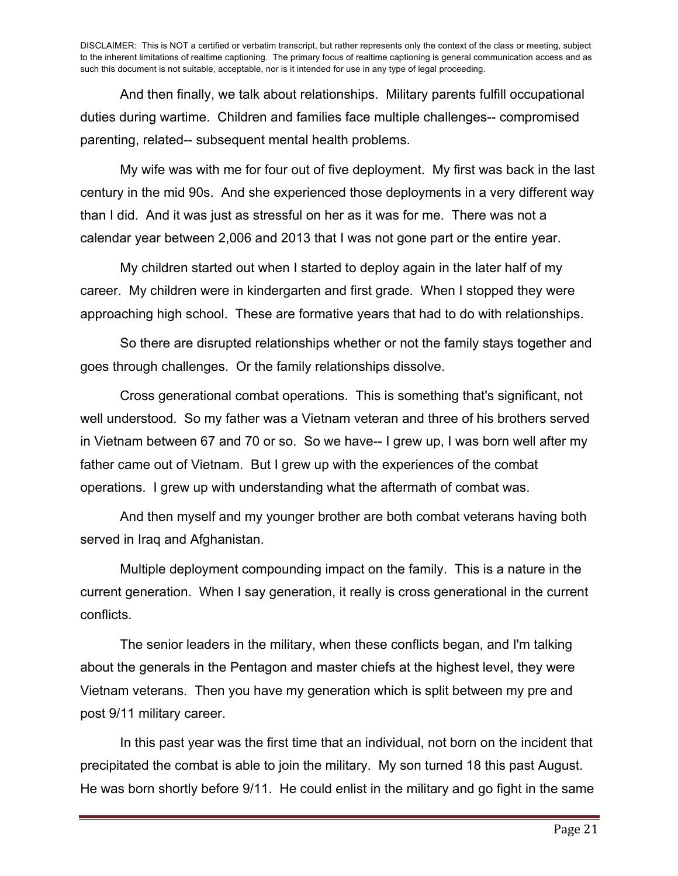And then finally, we talk about relationships. Military parents fulfill occupational duties during wartime. Children and families face multiple challenges-- compromised parenting, related-- subsequent mental health problems.

My wife was with me for four out of five deployment. My first was back in the last century in the mid 90s. And she experienced those deployments in a very different way than I did. And it was just as stressful on her as it was for me. There was not a calendar year between 2,006 and 2013 that I was not gone part or the entire year.

My children started out when I started to deploy again in the later half of my career. My children were in kindergarten and first grade. When I stopped they were approaching high school. These are formative years that had to do with relationships.

So there are disrupted relationships whether or not the family stays together and goes through challenges. Or the family relationships dissolve.

Cross generational combat operations. This is something that's significant, not well understood. So my father was a Vietnam veteran and three of his brothers served in Vietnam between 67 and 70 or so. So we have-- I grew up, I was born well after my father came out of Vietnam. But I grew up with the experiences of the combat operations. I grew up with understanding what the aftermath of combat was.

And then myself and my younger brother are both combat veterans having both served in Iraq and Afghanistan.

Multiple deployment compounding impact on the family. This is a nature in the current generation. When I say generation, it really is cross generational in the current conflicts.

The senior leaders in the military, when these conflicts began, and I'm talking about the generals in the Pentagon and master chiefs at the highest level, they were Vietnam veterans. Then you have my generation which is split between my pre and post 9/11 military career.

In this past year was the first time that an individual, not born on the incident that precipitated the combat is able to join the military. My son turned 18 this past August. He was born shortly before 9/11. He could enlist in the military and go fight in the same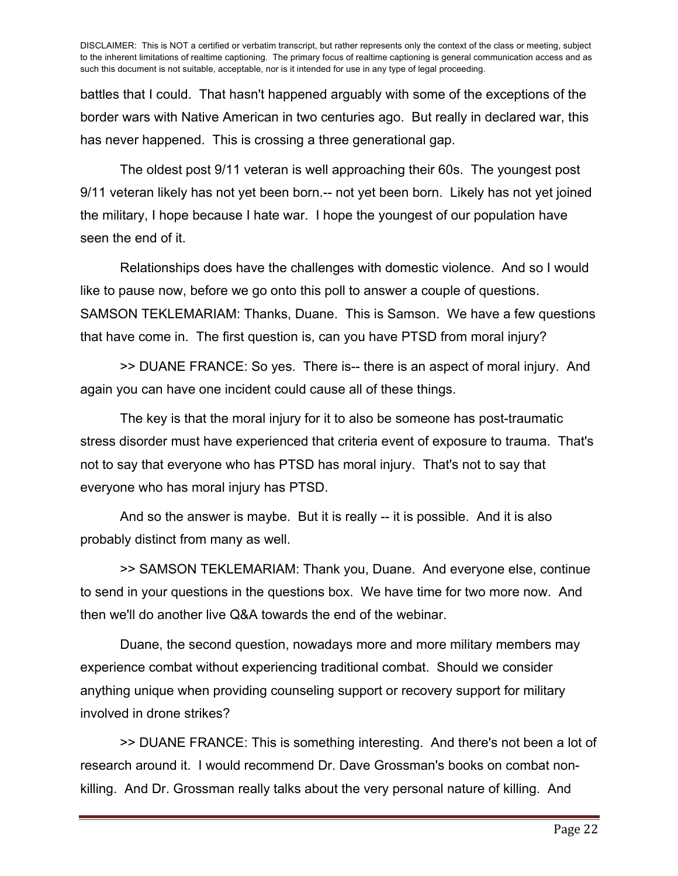battles that I could. That hasn't happened arguably with some of the exceptions of the border wars with Native American in two centuries ago. But really in declared war, this has never happened. This is crossing a three generational gap.

The oldest post 9/11 veteran is well approaching their 60s. The youngest post 9/11 veteran likely has not yet been born.-- not yet been born. Likely has not yet joined the military, I hope because I hate war. I hope the youngest of our population have seen the end of it.

Relationships does have the challenges with domestic violence. And so I would like to pause now, before we go onto this poll to answer a couple of questions. SAMSON TEKLEMARIAM: Thanks, Duane. This is Samson. We have a few questions that have come in. The first question is, can you have PTSD from moral injury?

>> DUANE FRANCE: So yes. There is-- there is an aspect of moral injury. And again you can have one incident could cause all of these things.

The key is that the moral injury for it to also be someone has post-traumatic stress disorder must have experienced that criteria event of exposure to trauma. That's not to say that everyone who has PTSD has moral injury. That's not to say that everyone who has moral injury has PTSD.

And so the answer is maybe. But it is really -- it is possible. And it is also probably distinct from many as well.

>> SAMSON TEKLEMARIAM: Thank you, Duane. And everyone else, continue to send in your questions in the questions box. We have time for two more now. And then we'll do another live Q&A towards the end of the webinar.

Duane, the second question, nowadays more and more military members may experience combat without experiencing traditional combat. Should we consider anything unique when providing counseling support or recovery support for military involved in drone strikes?

>> DUANE FRANCE: This is something interesting. And there's not been a lot of research around it. I would recommend Dr. Dave Grossman's books on combat nonkilling. And Dr. Grossman really talks about the very personal nature of killing. And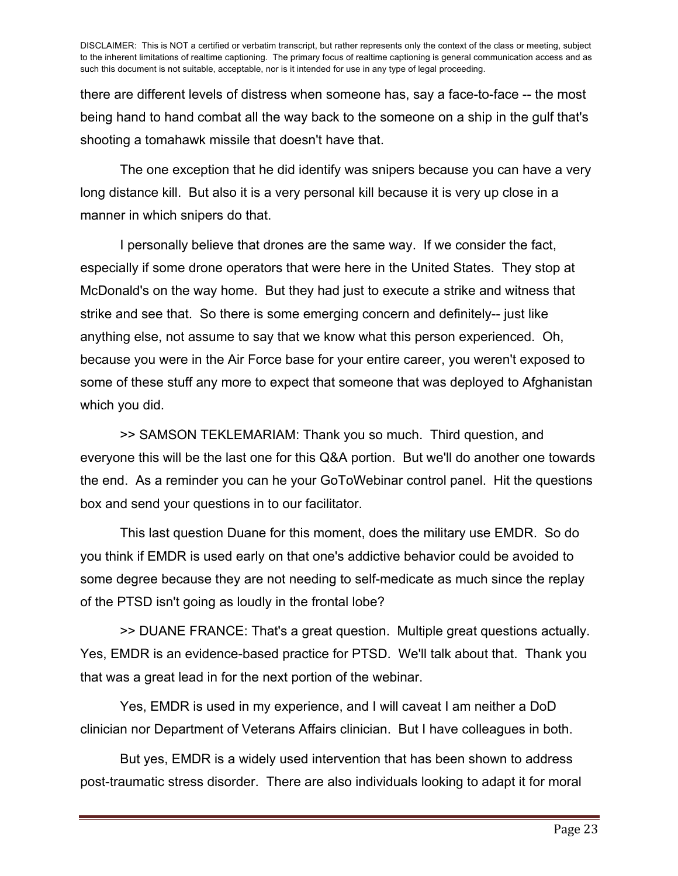there are different levels of distress when someone has, say a face-to-face -- the most being hand to hand combat all the way back to the someone on a ship in the gulf that's shooting a tomahawk missile that doesn't have that.

The one exception that he did identify was snipers because you can have a very long distance kill. But also it is a very personal kill because it is very up close in a manner in which snipers do that.

I personally believe that drones are the same way. If we consider the fact, especially if some drone operators that were here in the United States. They stop at McDonald's on the way home. But they had just to execute a strike and witness that strike and see that. So there is some emerging concern and definitely-- just like anything else, not assume to say that we know what this person experienced. Oh, because you were in the Air Force base for your entire career, you weren't exposed to some of these stuff any more to expect that someone that was deployed to Afghanistan which you did.

>> SAMSON TEKLEMARIAM: Thank you so much. Third question, and everyone this will be the last one for this Q&A portion. But we'll do another one towards the end. As a reminder you can he your GoToWebinar control panel. Hit the questions box and send your questions in to our facilitator.

This last question Duane for this moment, does the military use EMDR. So do you think if EMDR is used early on that one's addictive behavior could be avoided to some degree because they are not needing to self-medicate as much since the replay of the PTSD isn't going as loudly in the frontal lobe?

>> DUANE FRANCE: That's a great question. Multiple great questions actually. Yes, EMDR is an evidence-based practice for PTSD. We'll talk about that. Thank you that was a great lead in for the next portion of the webinar.

Yes, EMDR is used in my experience, and I will caveat I am neither a DoD clinician nor Department of Veterans Affairs clinician. But I have colleagues in both.

But yes, EMDR is a widely used intervention that has been shown to address post-traumatic stress disorder. There are also individuals looking to adapt it for moral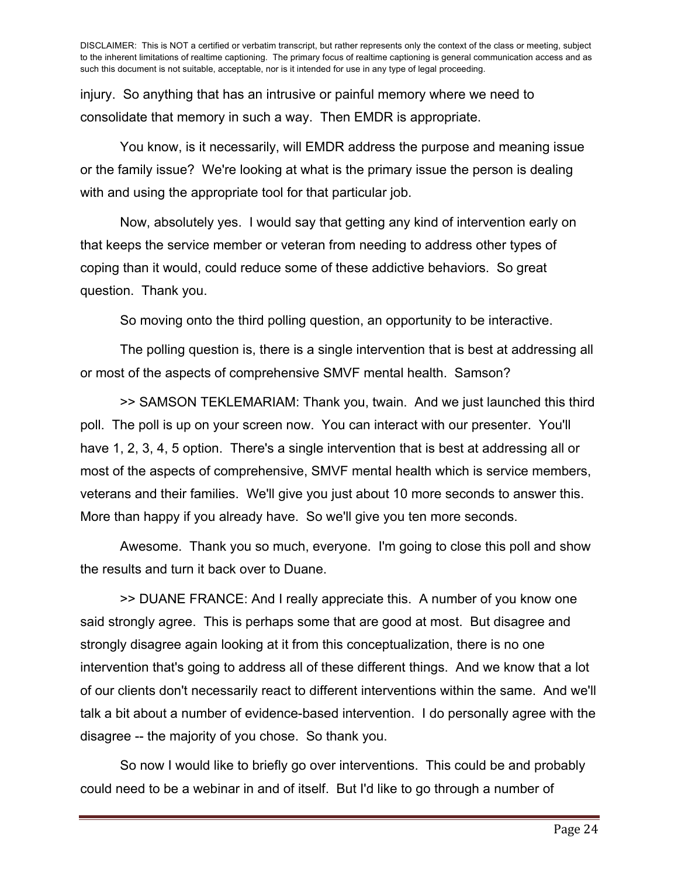injury. So anything that has an intrusive or painful memory where we need to consolidate that memory in such a way. Then EMDR is appropriate.

You know, is it necessarily, will EMDR address the purpose and meaning issue or the family issue? We're looking at what is the primary issue the person is dealing with and using the appropriate tool for that particular job.

Now, absolutely yes. I would say that getting any kind of intervention early on that keeps the service member or veteran from needing to address other types of coping than it would, could reduce some of these addictive behaviors. So great question. Thank you.

So moving onto the third polling question, an opportunity to be interactive.

The polling question is, there is a single intervention that is best at addressing all or most of the aspects of comprehensive SMVF mental health. Samson?

>> SAMSON TEKLEMARIAM: Thank you, twain. And we just launched this third poll. The poll is up on your screen now. You can interact with our presenter. You'll have 1, 2, 3, 4, 5 option. There's a single intervention that is best at addressing all or most of the aspects of comprehensive, SMVF mental health which is service members, veterans and their families. We'll give you just about 10 more seconds to answer this. More than happy if you already have. So we'll give you ten more seconds.

Awesome. Thank you so much, everyone. I'm going to close this poll and show the results and turn it back over to Duane.

>> DUANE FRANCE: And I really appreciate this. A number of you know one said strongly agree. This is perhaps some that are good at most. But disagree and strongly disagree again looking at it from this conceptualization, there is no one intervention that's going to address all of these different things. And we know that a lot of our clients don't necessarily react to different interventions within the same. And we'll talk a bit about a number of evidence-based intervention. I do personally agree with the disagree -- the majority of you chose. So thank you.

So now I would like to briefly go over interventions. This could be and probably could need to be a webinar in and of itself. But I'd like to go through a number of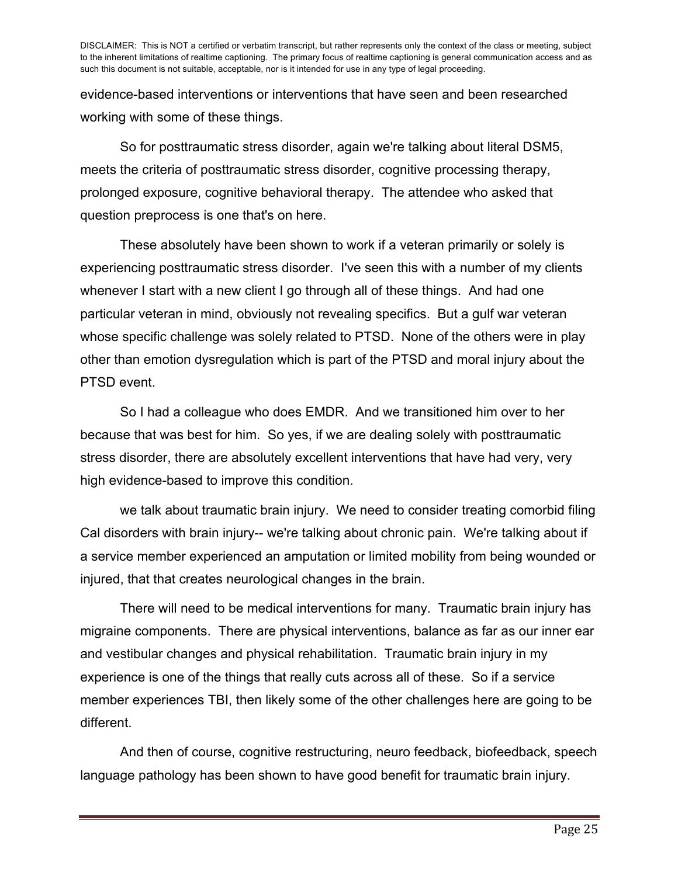evidence-based interventions or interventions that have seen and been researched working with some of these things.

So for posttraumatic stress disorder, again we're talking about literal DSM5, meets the criteria of posttraumatic stress disorder, cognitive processing therapy, prolonged exposure, cognitive behavioral therapy. The attendee who asked that question preprocess is one that's on here.

These absolutely have been shown to work if a veteran primarily or solely is experiencing posttraumatic stress disorder. I've seen this with a number of my clients whenever I start with a new client I go through all of these things. And had one particular veteran in mind, obviously not revealing specifics. But a gulf war veteran whose specific challenge was solely related to PTSD. None of the others were in play other than emotion dysregulation which is part of the PTSD and moral injury about the PTSD event.

So I had a colleague who does EMDR. And we transitioned him over to her because that was best for him. So yes, if we are dealing solely with posttraumatic stress disorder, there are absolutely excellent interventions that have had very, very high evidence-based to improve this condition.

we talk about traumatic brain injury. We need to consider treating comorbid filing Cal disorders with brain injury-- we're talking about chronic pain. We're talking about if a service member experienced an amputation or limited mobility from being wounded or injured, that that creates neurological changes in the brain.

There will need to be medical interventions for many. Traumatic brain injury has migraine components. There are physical interventions, balance as far as our inner ear and vestibular changes and physical rehabilitation. Traumatic brain injury in my experience is one of the things that really cuts across all of these. So if a service member experiences TBI, then likely some of the other challenges here are going to be different.

And then of course, cognitive restructuring, neuro feedback, biofeedback, speech language pathology has been shown to have good benefit for traumatic brain injury.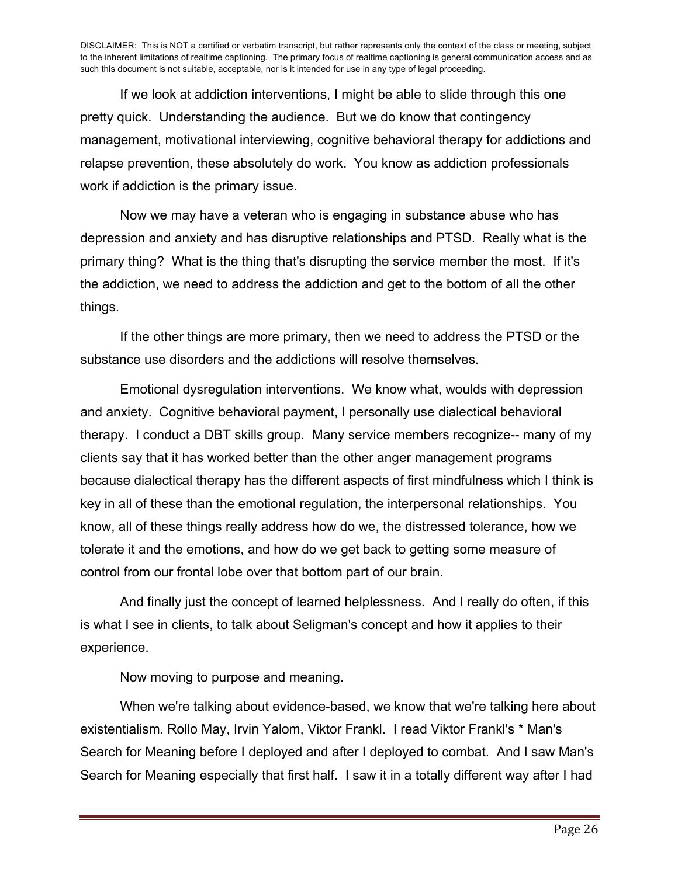If we look at addiction interventions, I might be able to slide through this one pretty quick. Understanding the audience. But we do know that contingency management, motivational interviewing, cognitive behavioral therapy for addictions and relapse prevention, these absolutely do work. You know as addiction professionals work if addiction is the primary issue.

Now we may have a veteran who is engaging in substance abuse who has depression and anxiety and has disruptive relationships and PTSD. Really what is the primary thing? What is the thing that's disrupting the service member the most. If it's the addiction, we need to address the addiction and get to the bottom of all the other things.

If the other things are more primary, then we need to address the PTSD or the substance use disorders and the addictions will resolve themselves.

Emotional dysregulation interventions. We know what, woulds with depression and anxiety. Cognitive behavioral payment, I personally use dialectical behavioral therapy. I conduct a DBT skills group. Many service members recognize-- many of my clients say that it has worked better than the other anger management programs because dialectical therapy has the different aspects of first mindfulness which I think is key in all of these than the emotional regulation, the interpersonal relationships. You know, all of these things really address how do we, the distressed tolerance, how we tolerate it and the emotions, and how do we get back to getting some measure of control from our frontal lobe over that bottom part of our brain.

And finally just the concept of learned helplessness. And I really do often, if this is what I see in clients, to talk about Seligman's concept and how it applies to their experience.

Now moving to purpose and meaning.

When we're talking about evidence-based, we know that we're talking here about existentialism. Rollo May, Irvin Yalom, Viktor Frankl. I read Viktor Frankl's \* Man's Search for Meaning before I deployed and after I deployed to combat. And I saw Man's Search for Meaning especially that first half. I saw it in a totally different way after I had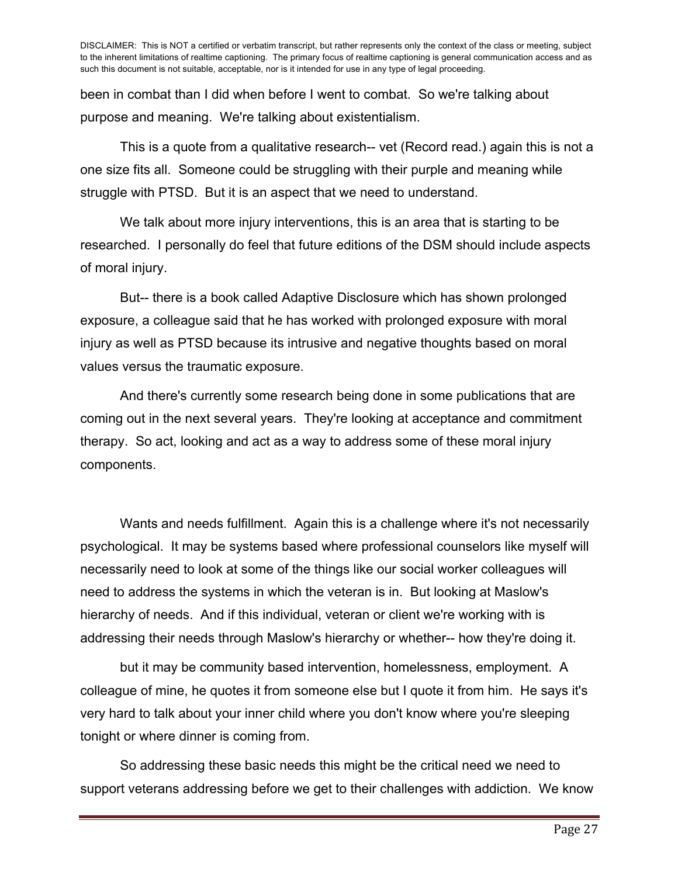been in combat than I did when before I went to combat. So we're talking about purpose and meaning. We're talking about existentialism.

This is a quote from a qualitative research-- vet (Record read.) again this is not a one size fits all. Someone could be struggling with their purple and meaning while struggle with PTSD. But it is an aspect that we need to understand.

We talk about more injury interventions, this is an area that is starting to be researched. I personally do feel that future editions of the DSM should include aspects of moral injury.

But-- there is a book called Adaptive Disclosure which has shown prolonged exposure, a colleague said that he has worked with prolonged exposure with moral injury as well as PTSD because its intrusive and negative thoughts based on moral values versus the traumatic exposure.

And there's currently some research being done in some publications that are coming out in the next several years. They're looking at acceptance and commitment therapy. So act, looking and act as a way to address some of these moral injury components.

Wants and needs fulfillment. Again this is a challenge where it's not necessarily psychological. It may be systems based where professional counselors like myself will necessarily need to look at some of the things like our social worker colleagues will need to address the systems in which the veteran is in. But looking at Maslow's hierarchy of needs. And if this individual, veteran or client we're working with is addressing their needs through Maslow's hierarchy or whether-- how they're doing it.

but it may be community based intervention, homelessness, employment. A colleague of mine, he quotes it from someone else but I quote it from him. He says it's very hard to talk about your inner child where you don't know where you're sleeping tonight or where dinner is coming from.

So addressing these basic needs this might be the critical need we need to support veterans addressing before we get to their challenges with addiction. We know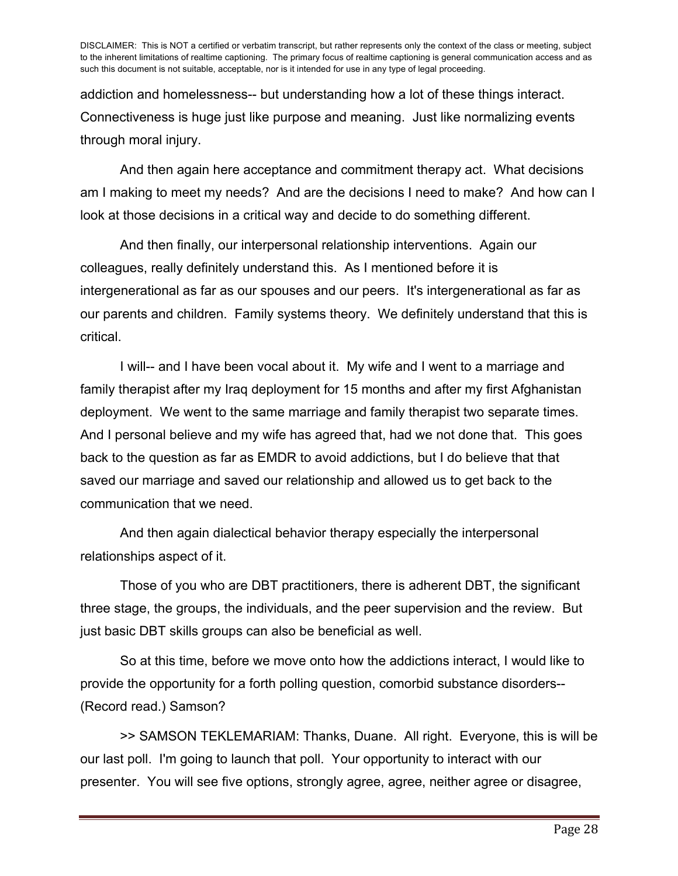addiction and homelessness-- but understanding how a lot of these things interact. Connectiveness is huge just like purpose and meaning. Just like normalizing events through moral injury.

And then again here acceptance and commitment therapy act. What decisions am I making to meet my needs? And are the decisions I need to make? And how can I look at those decisions in a critical way and decide to do something different.

And then finally, our interpersonal relationship interventions. Again our colleagues, really definitely understand this. As I mentioned before it is intergenerational as far as our spouses and our peers. It's intergenerational as far as our parents and children. Family systems theory. We definitely understand that this is critical.

I will-- and I have been vocal about it. My wife and I went to a marriage and family therapist after my Iraq deployment for 15 months and after my first Afghanistan deployment. We went to the same marriage and family therapist two separate times. And I personal believe and my wife has agreed that, had we not done that. This goes back to the question as far as EMDR to avoid addictions, but I do believe that that saved our marriage and saved our relationship and allowed us to get back to the communication that we need.

And then again dialectical behavior therapy especially the interpersonal relationships aspect of it.

Those of you who are DBT practitioners, there is adherent DBT, the significant three stage, the groups, the individuals, and the peer supervision and the review. But just basic DBT skills groups can also be beneficial as well.

So at this time, before we move onto how the addictions interact, I would like to provide the opportunity for a forth polling question, comorbid substance disorders-- (Record read.) Samson?

>> SAMSON TEKLEMARIAM: Thanks, Duane. All right. Everyone, this is will be our last poll. I'm going to launch that poll. Your opportunity to interact with our presenter. You will see five options, strongly agree, agree, neither agree or disagree,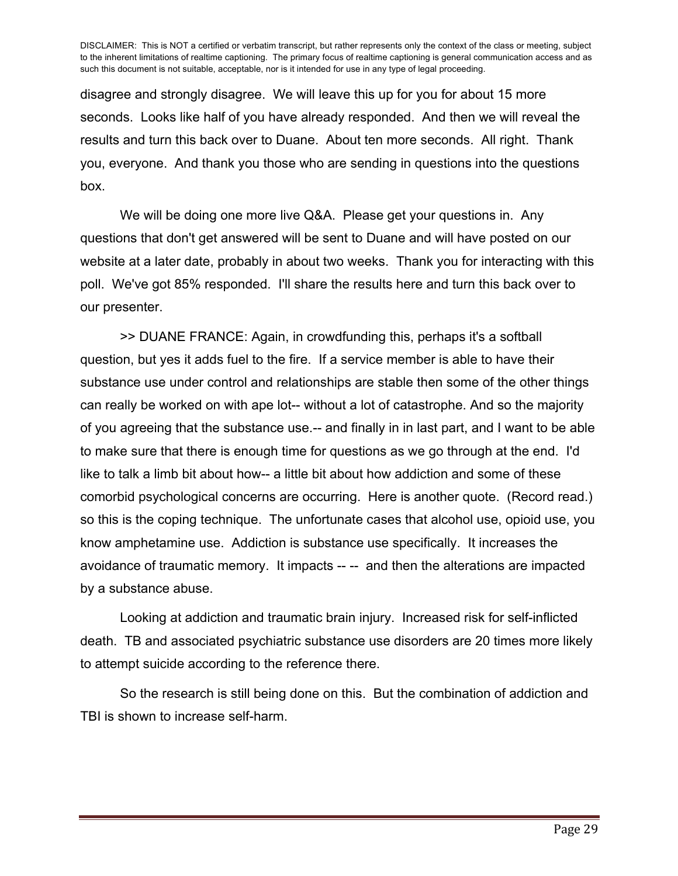disagree and strongly disagree. We will leave this up for you for about 15 more seconds. Looks like half of you have already responded. And then we will reveal the results and turn this back over to Duane. About ten more seconds. All right. Thank you, everyone. And thank you those who are sending in questions into the questions box.

We will be doing one more live Q&A. Please get your questions in. Any questions that don't get answered will be sent to Duane and will have posted on our website at a later date, probably in about two weeks. Thank you for interacting with this poll. We've got 85% responded. I'll share the results here and turn this back over to our presenter.

>> DUANE FRANCE: Again, in crowdfunding this, perhaps it's a softball question, but yes it adds fuel to the fire. If a service member is able to have their substance use under control and relationships are stable then some of the other things can really be worked on with ape lot-- without a lot of catastrophe. And so the majority of you agreeing that the substance use.-- and finally in in last part, and I want to be able to make sure that there is enough time for questions as we go through at the end. I'd like to talk a limb bit about how-- a little bit about how addiction and some of these comorbid psychological concerns are occurring. Here is another quote. (Record read.) so this is the coping technique. The unfortunate cases that alcohol use, opioid use, you know amphetamine use. Addiction is substance use specifically. It increases the avoidance of traumatic memory. It impacts -- -- and then the alterations are impacted by a substance abuse.

Looking at addiction and traumatic brain injury. Increased risk for self-inflicted death. TB and associated psychiatric substance use disorders are 20 times more likely to attempt suicide according to the reference there.

So the research is still being done on this. But the combination of addiction and TBI is shown to increase self-harm.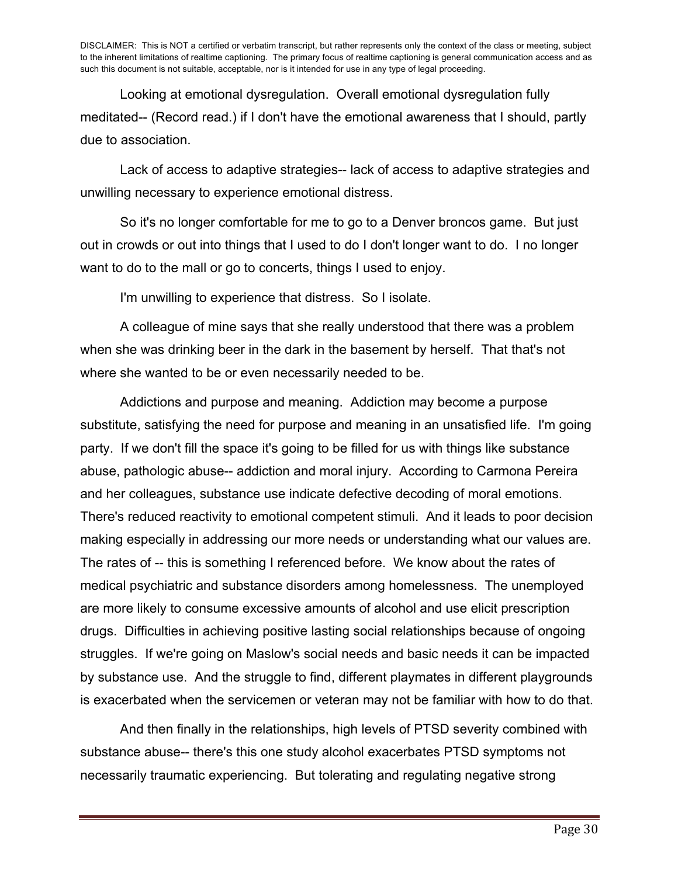Looking at emotional dysregulation. Overall emotional dysregulation fully meditated-- (Record read.) if I don't have the emotional awareness that I should, partly due to association.

Lack of access to adaptive strategies-- lack of access to adaptive strategies and unwilling necessary to experience emotional distress.

So it's no longer comfortable for me to go to a Denver broncos game. But just out in crowds or out into things that I used to do I don't longer want to do. I no longer want to do to the mall or go to concerts, things I used to enjoy.

I'm unwilling to experience that distress. So I isolate.

A colleague of mine says that she really understood that there was a problem when she was drinking beer in the dark in the basement by herself. That that's not where she wanted to be or even necessarily needed to be.

Addictions and purpose and meaning. Addiction may become a purpose substitute, satisfying the need for purpose and meaning in an unsatisfied life. I'm going party. If we don't fill the space it's going to be filled for us with things like substance abuse, pathologic abuse-- addiction and moral injury. According to Carmona Pereira and her colleagues, substance use indicate defective decoding of moral emotions. There's reduced reactivity to emotional competent stimuli. And it leads to poor decision making especially in addressing our more needs or understanding what our values are. The rates of -- this is something I referenced before. We know about the rates of medical psychiatric and substance disorders among homelessness. The unemployed are more likely to consume excessive amounts of alcohol and use elicit prescription drugs. Difficulties in achieving positive lasting social relationships because of ongoing struggles. If we're going on Maslow's social needs and basic needs it can be impacted by substance use. And the struggle to find, different playmates in different playgrounds is exacerbated when the servicemen or veteran may not be familiar with how to do that.

And then finally in the relationships, high levels of PTSD severity combined with substance abuse-- there's this one study alcohol exacerbates PTSD symptoms not necessarily traumatic experiencing. But tolerating and regulating negative strong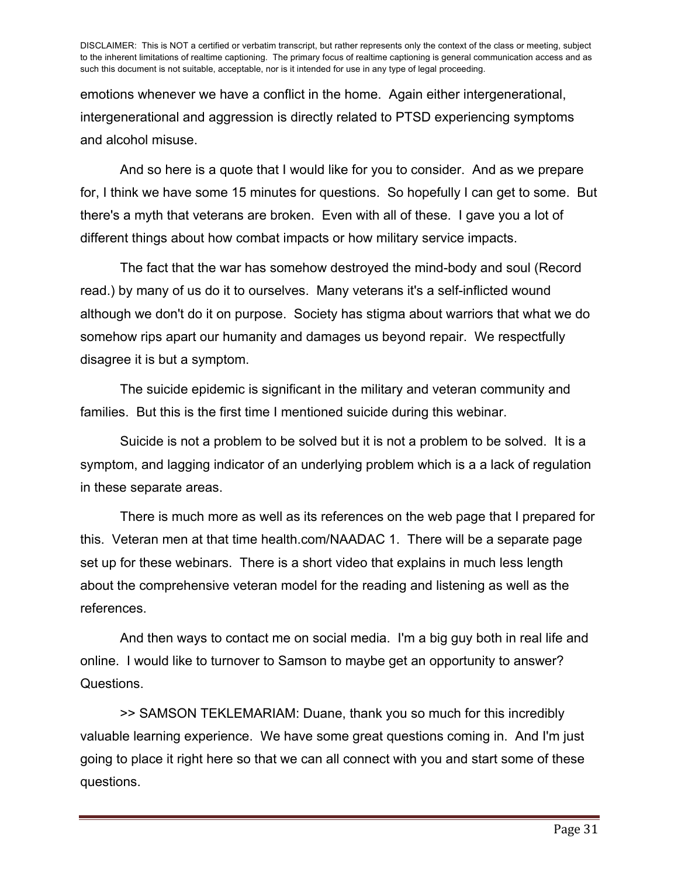emotions whenever we have a conflict in the home. Again either intergenerational, intergenerational and aggression is directly related to PTSD experiencing symptoms and alcohol misuse.

And so here is a quote that I would like for you to consider. And as we prepare for, I think we have some 15 minutes for questions. So hopefully I can get to some. But there's a myth that veterans are broken. Even with all of these. I gave you a lot of different things about how combat impacts or how military service impacts.

The fact that the war has somehow destroyed the mind-body and soul (Record read.) by many of us do it to ourselves. Many veterans it's a self-inflicted wound although we don't do it on purpose. Society has stigma about warriors that what we do somehow rips apart our humanity and damages us beyond repair. We respectfully disagree it is but a symptom.

The suicide epidemic is significant in the military and veteran community and families. But this is the first time I mentioned suicide during this webinar.

Suicide is not a problem to be solved but it is not a problem to be solved. It is a symptom, and lagging indicator of an underlying problem which is a a lack of regulation in these separate areas.

There is much more as well as its references on the web page that I prepared for this. Veteran men at that time health.com/NAADAC 1. There will be a separate page set up for these webinars. There is a short video that explains in much less length about the comprehensive veteran model for the reading and listening as well as the references.

And then ways to contact me on social media. I'm a big guy both in real life and online. I would like to turnover to Samson to maybe get an opportunity to answer? Questions.

>> SAMSON TEKLEMARIAM: Duane, thank you so much for this incredibly valuable learning experience. We have some great questions coming in. And I'm just going to place it right here so that we can all connect with you and start some of these questions.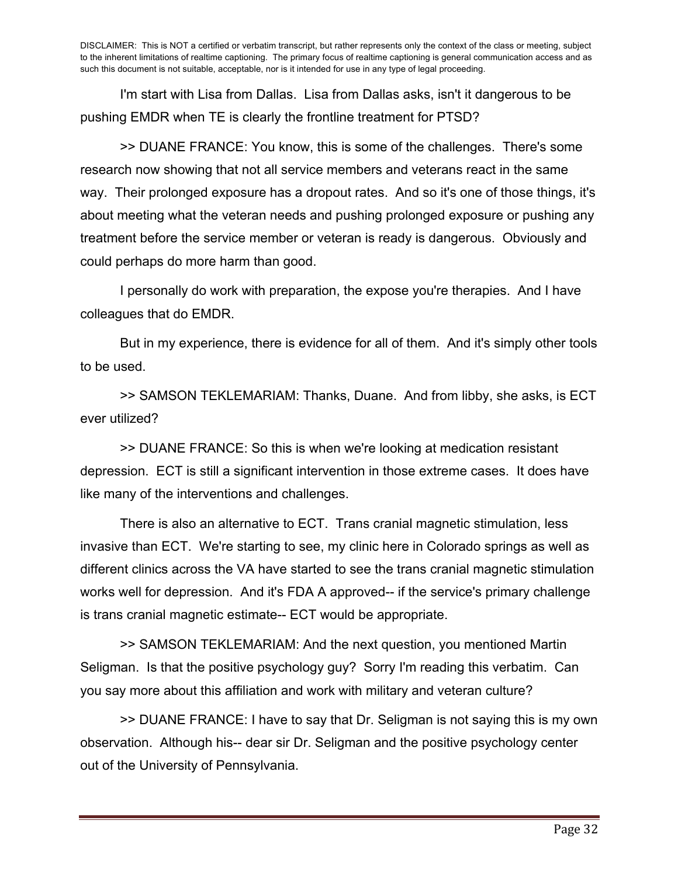I'm start with Lisa from Dallas. Lisa from Dallas asks, isn't it dangerous to be pushing EMDR when TE is clearly the frontline treatment for PTSD?

>> DUANE FRANCE: You know, this is some of the challenges. There's some research now showing that not all service members and veterans react in the same way. Their prolonged exposure has a dropout rates. And so it's one of those things, it's about meeting what the veteran needs and pushing prolonged exposure or pushing any treatment before the service member or veteran is ready is dangerous. Obviously and could perhaps do more harm than good.

I personally do work with preparation, the expose you're therapies. And I have colleagues that do EMDR.

But in my experience, there is evidence for all of them. And it's simply other tools to be used.

>> SAMSON TEKLEMARIAM: Thanks, Duane. And from libby, she asks, is ECT ever utilized?

>> DUANE FRANCE: So this is when we're looking at medication resistant depression. ECT is still a significant intervention in those extreme cases. It does have like many of the interventions and challenges.

There is also an alternative to ECT. Trans cranial magnetic stimulation, less invasive than ECT. We're starting to see, my clinic here in Colorado springs as well as different clinics across the VA have started to see the trans cranial magnetic stimulation works well for depression. And it's FDA A approved-- if the service's primary challenge is trans cranial magnetic estimate-- ECT would be appropriate.

>> SAMSON TEKLEMARIAM: And the next question, you mentioned Martin Seligman. Is that the positive psychology guy? Sorry I'm reading this verbatim. Can you say more about this affiliation and work with military and veteran culture?

>> DUANE FRANCE: I have to say that Dr. Seligman is not saying this is my own observation. Although his-- dear sir Dr. Seligman and the positive psychology center out of the University of Pennsylvania.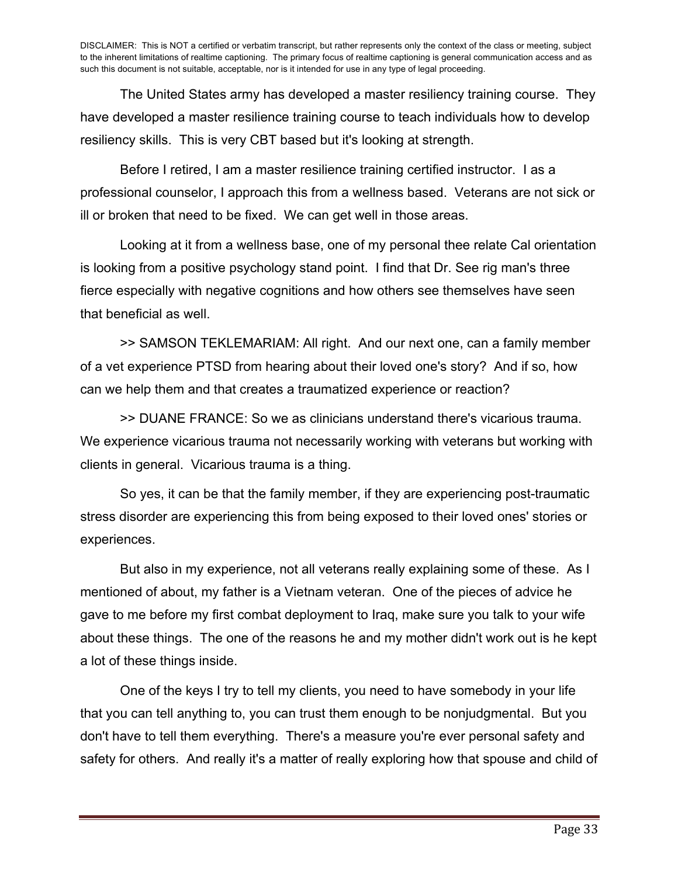The United States army has developed a master resiliency training course. They have developed a master resilience training course to teach individuals how to develop resiliency skills. This is very CBT based but it's looking at strength.

Before I retired, I am a master resilience training certified instructor. I as a professional counselor, I approach this from a wellness based. Veterans are not sick or ill or broken that need to be fixed. We can get well in those areas.

Looking at it from a wellness base, one of my personal thee relate Cal orientation is looking from a positive psychology stand point. I find that Dr. See rig man's three fierce especially with negative cognitions and how others see themselves have seen that beneficial as well.

>> SAMSON TEKLEMARIAM: All right. And our next one, can a family member of a vet experience PTSD from hearing about their loved one's story? And if so, how can we help them and that creates a traumatized experience or reaction?

>> DUANE FRANCE: So we as clinicians understand there's vicarious trauma. We experience vicarious trauma not necessarily working with veterans but working with clients in general. Vicarious trauma is a thing.

So yes, it can be that the family member, if they are experiencing post-traumatic stress disorder are experiencing this from being exposed to their loved ones' stories or experiences.

But also in my experience, not all veterans really explaining some of these. As I mentioned of about, my father is a Vietnam veteran. One of the pieces of advice he gave to me before my first combat deployment to Iraq, make sure you talk to your wife about these things. The one of the reasons he and my mother didn't work out is he kept a lot of these things inside.

One of the keys I try to tell my clients, you need to have somebody in your life that you can tell anything to, you can trust them enough to be nonjudgmental. But you don't have to tell them everything. There's a measure you're ever personal safety and safety for others. And really it's a matter of really exploring how that spouse and child of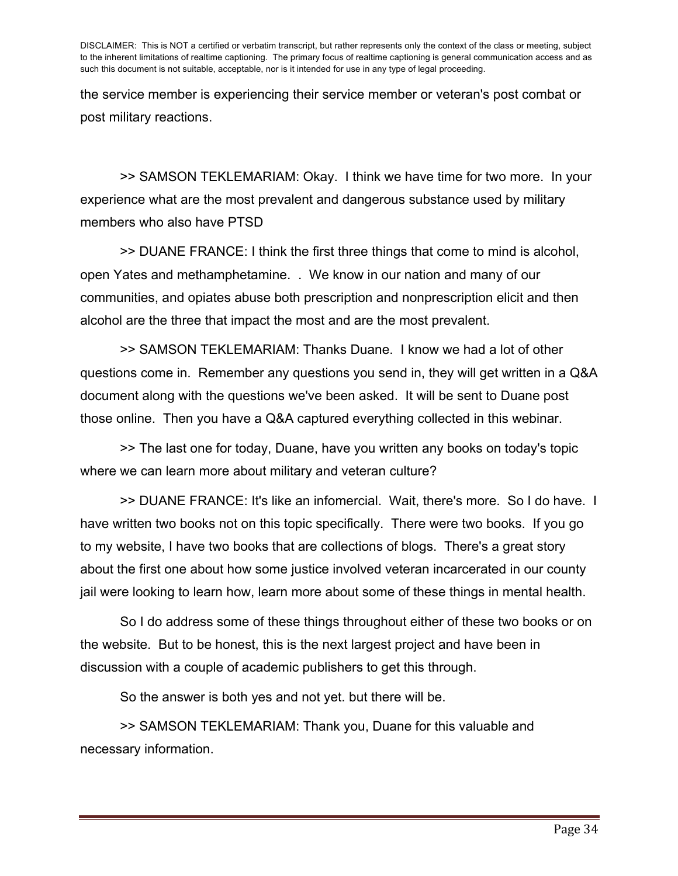the service member is experiencing their service member or veteran's post combat or post military reactions.

>> SAMSON TEKLEMARIAM: Okay. I think we have time for two more. In your experience what are the most prevalent and dangerous substance used by military members who also have PTSD

>> DUANE FRANCE: I think the first three things that come to mind is alcohol, open Yates and methamphetamine. . We know in our nation and many of our communities, and opiates abuse both prescription and nonprescription elicit and then alcohol are the three that impact the most and are the most prevalent.

>> SAMSON TEKLEMARIAM: Thanks Duane. I know we had a lot of other questions come in. Remember any questions you send in, they will get written in a Q&A document along with the questions we've been asked. It will be sent to Duane post those online. Then you have a Q&A captured everything collected in this webinar.

>> The last one for today, Duane, have you written any books on today's topic where we can learn more about military and veteran culture?

>> DUANE FRANCE: It's like an infomercial. Wait, there's more. So I do have. I have written two books not on this topic specifically. There were two books. If you go to my website, I have two books that are collections of blogs. There's a great story about the first one about how some justice involved veteran incarcerated in our county jail were looking to learn how, learn more about some of these things in mental health.

So I do address some of these things throughout either of these two books or on the website. But to be honest, this is the next largest project and have been in discussion with a couple of academic publishers to get this through.

So the answer is both yes and not yet. but there will be.

>> SAMSON TEKLEMARIAM: Thank you, Duane for this valuable and necessary information.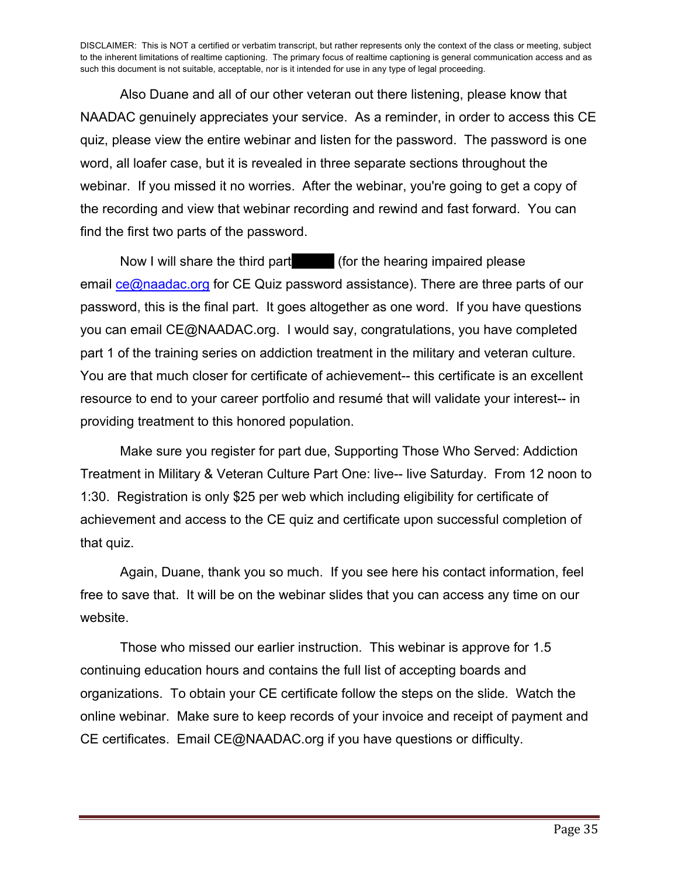Also Duane and all of our other veteran out there listening, please know that NAADAC genuinely appreciates your service. As a reminder, in order to access this CE quiz, please view the entire webinar and listen for the password. The password is one word, all loafer case, but it is revealed in three separate sections throughout the webinar. If you missed it no worries. After the webinar, you're going to get a copy of the recording and view that webinar recording and rewind and fast forward. You can find the first two parts of the password.

Now I will share the third part (for the hearing impaired please) email ce@naadac.org for CE Quiz password assistance). There are three parts of our password, this is the final part. It goes altogether as one word. If you have questions you can email CE@NAADAC.org. I would say, congratulations, you have completed part 1 of the training series on addiction treatment in the military and veteran culture. You are that much closer for certificate of achievement-- this certificate is an excellent resource to end to your career portfolio and resumé that will validate your interest-- in providing treatment to this honored population.

Make sure you register for part due, Supporting Those Who Served: Addiction Treatment in Military & Veteran Culture Part One: live-- live Saturday. From 12 noon to 1:30. Registration is only \$25 per web which including eligibility for certificate of achievement and access to the CE quiz and certificate upon successful completion of that quiz.

Again, Duane, thank you so much. If you see here his contact information, feel free to save that. It will be on the webinar slides that you can access any time on our website.

Those who missed our earlier instruction. This webinar is approve for 1.5 continuing education hours and contains the full list of accepting boards and organizations. To obtain your CE certificate follow the steps on the slide. Watch the online webinar. Make sure to keep records of your invoice and receipt of payment and CE certificates. Email CE@NAADAC.org if you have questions or difficulty.